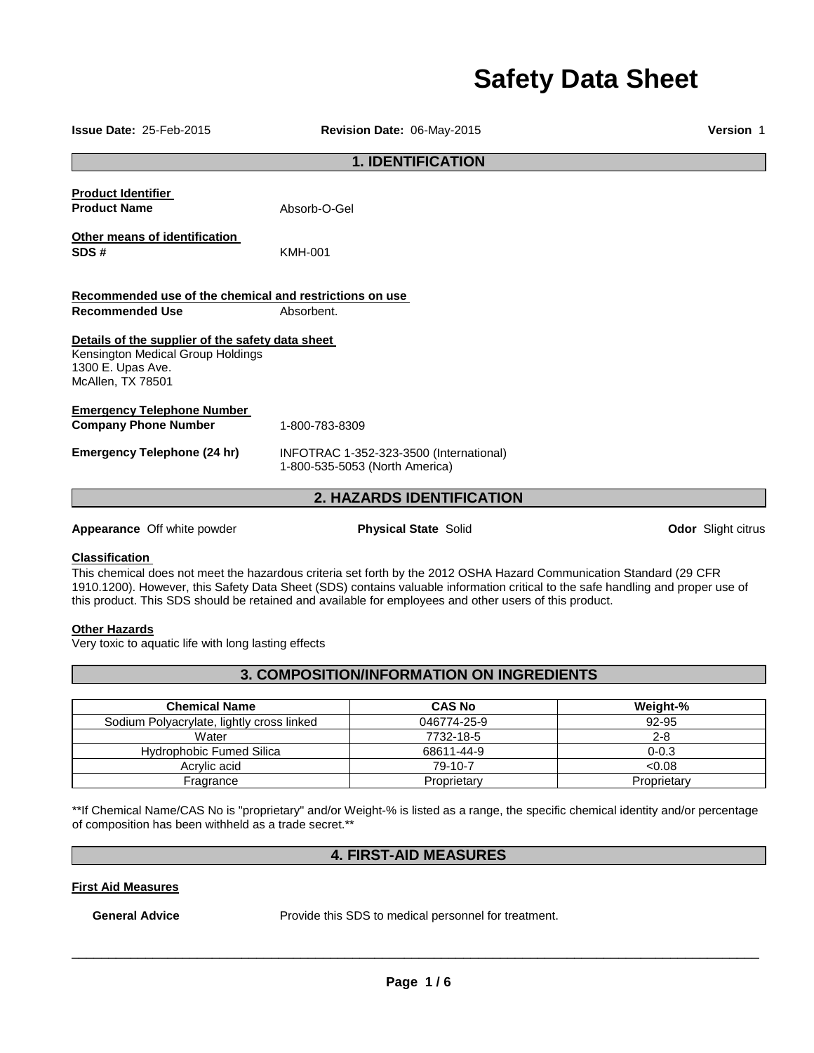### **Safety Data Sheet**

| <b>Issue Date: 25-Feb-2015</b>                                                                                                  | Revision Date: 06-May-2015                                                | Version 1 |
|---------------------------------------------------------------------------------------------------------------------------------|---------------------------------------------------------------------------|-----------|
|                                                                                                                                 | <b>1. IDENTIFICATION</b>                                                  |           |
| <b>Product Identifier</b><br><b>Product Name</b>                                                                                | Absorb-O-Gel                                                              |           |
| Other means of identification<br>SDS#                                                                                           | <b>KMH-001</b>                                                            |           |
| Recommended use of the chemical and restrictions on use<br><b>Recommended Use</b>                                               | Absorbent.                                                                |           |
| Details of the supplier of the safety data sheet<br>Kensington Medical Group Holdings<br>1300 E. Upas Ave.<br>McAllen, TX 78501 |                                                                           |           |
| <b>Emergency Telephone Number</b><br><b>Company Phone Number</b>                                                                | 1-800-783-8309                                                            |           |
| Emergency Telephone (24 hr)                                                                                                     | INFOTRAC 1-352-323-3500 (International)<br>1-800-535-5053 (North America) |           |

### **2. HAZARDS IDENTIFICATION**

**Appearance** Off white powder **Physical State** Solid **Odor** Slight citrus

### **Classification**

This chemical does not meet the hazardous criteria set forth by the 2012 OSHA Hazard Communication Standard (29 CFR 1910.1200). However, this Safety Data Sheet (SDS) contains valuable information critical to the safe handling and proper use of this product. This SDS should be retained and available for employees and other users of this product.

### **Other Hazards**

Very toxic to aquatic life with long lasting effects

### **3. COMPOSITION/INFORMATION ON INGREDIENTS**

| <b>Chemical Name</b>                      | <b>CAS No</b> | Weight-%    |
|-------------------------------------------|---------------|-------------|
| Sodium Polyacrylate, lightly cross linked | 046774-25-9   | 92-95       |
| Water                                     | 7732-18-5     | $2 - 8$     |
| <b>Hydrophobic Fumed Silica</b>           | 68611-44-9    | $0 - 0.3$   |
| Acrylic acid                              | 79-10-7       | &0.08       |
| Fragrance                                 | Proprietary   | Proprietary |

\*\*If Chemical Name/CAS No is "proprietary" and/or Weight-% is listed as a range, the specific chemical identity and/or percentage of composition has been withheld as a trade secret.\*\*

### **4. FIRST-AID MEASURES**

### **First Aid Measures**

General Advice **Provide this SDS** to medical personnel for treatment.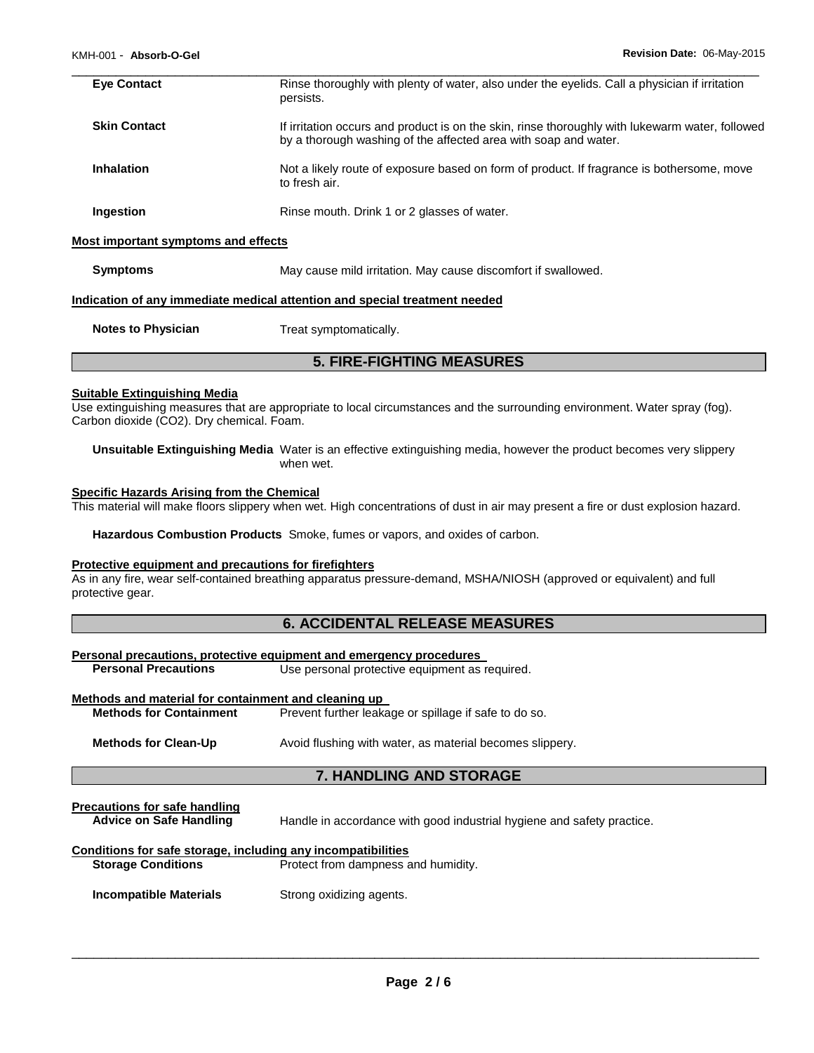| <b>Eye Contact</b>                  | Rinse thoroughly with plenty of water, also under the eyelids. Call a physician if irritation<br>persists.                                                         |
|-------------------------------------|--------------------------------------------------------------------------------------------------------------------------------------------------------------------|
| <b>Skin Contact</b>                 | If irritation occurs and product is on the skin, rinse thoroughly with lukewarm water, followed<br>by a thorough washing of the affected area with soap and water. |
| <b>Inhalation</b>                   | Not a likely route of exposure based on form of product. If fragrance is bothersome, move<br>to fresh air.                                                         |
| Ingestion                           | Rinse mouth. Drink 1 or 2 glasses of water.                                                                                                                        |
| Most important symptoms and effects |                                                                                                                                                                    |

**Symptoms May cause mild irritation. May cause discomfort if swallowed.** 

### **Indication of any immediate medical attention and special treatment needed**

**Notes to Physician**  Treat symptomatically.

### **5. FIRE-FIGHTING MEASURES**

### **Suitable Extinguishing Media**

Use extinguishing measures that are appropriate to local circumstances and the surrounding environment. Water spray (fog). Carbon dioxide (CO2). Dry chemical. Foam.

**Unsuitable Extinguishing Media** Water is an effective extinguishing media, however the product becomes very slippery when wet.

### **Specific Hazards Arising from the Chemical**

This material will make floors slippery when wet. High concentrations of dust in air may present a fire or dust explosion hazard.

**Hazardous Combustion Products** Smoke, fumes or vapors, and oxides of carbon.

### **Protective equipment and precautions for firefighters**

As in any fire, wear self-contained breathing apparatus pressure-demand, MSHA/NIOSH (approved or equivalent) and full protective gear.

### **6. ACCIDENTAL RELEASE MEASURES**

|                                                                 | Personal precautions, protective equipment and emergency procedures    |  |
|-----------------------------------------------------------------|------------------------------------------------------------------------|--|
| <b>Personal Precautions</b>                                     | Use personal protective equipment as required.                         |  |
| Methods and material for containment and cleaning up            |                                                                        |  |
| <b>Methods for Containment</b>                                  | Prevent further leakage or spillage if safe to do so.                  |  |
| <b>Methods for Clean-Up</b>                                     | Avoid flushing with water, as material becomes slippery.               |  |
| <b>7. HANDLING AND STORAGE</b>                                  |                                                                        |  |
|                                                                 |                                                                        |  |
| <b>Precautions for safe handling</b><br>Advice on Safe Handling | Handle in accordance with good industrial hygiene and safety practice. |  |
| Conditions for safe storage, including any incompatibilities    |                                                                        |  |
| <b>Storage Conditions</b>                                       | Protect from dampness and humidity.                                    |  |
| <b>Incompatible Materials</b>                                   | Strong oxidizing agents.                                               |  |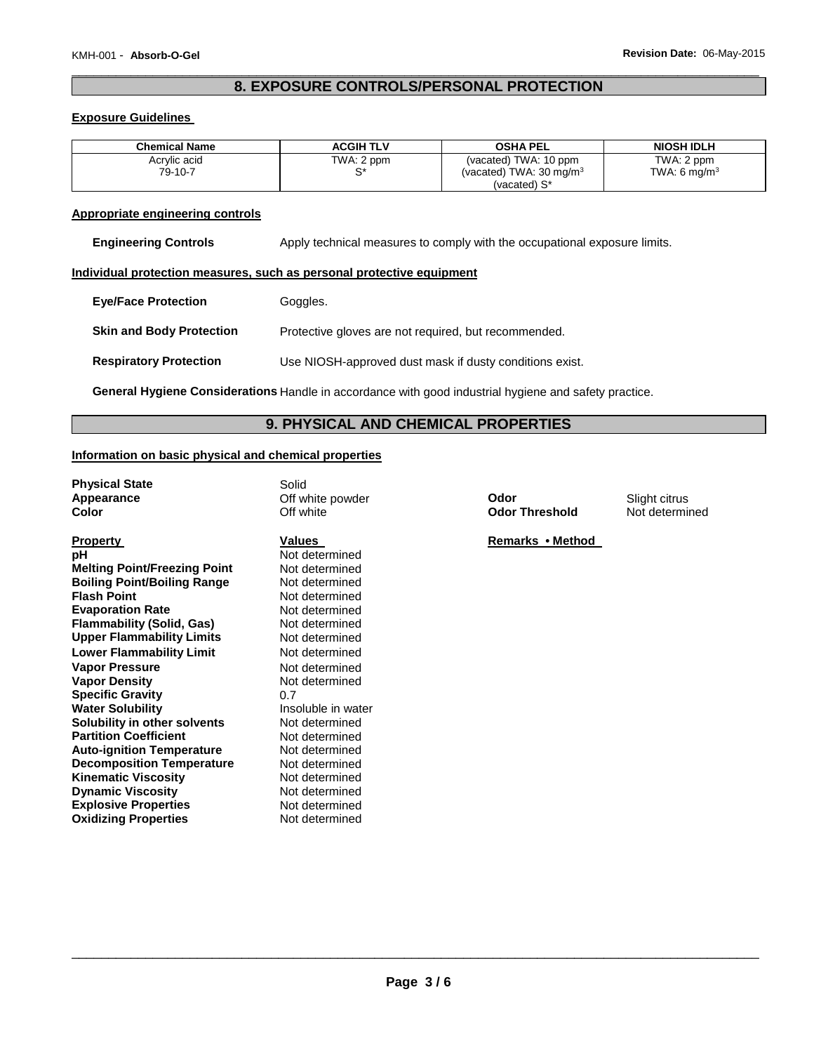### \_\_\_\_\_\_\_\_\_\_\_\_\_\_\_\_\_\_\_\_\_\_\_\_\_\_\_\_\_\_\_\_\_\_\_\_\_\_\_\_\_\_\_\_\_\_\_\_\_\_\_\_\_\_\_\_\_\_\_\_\_\_\_\_\_\_\_\_\_\_\_\_\_\_\_\_\_\_\_\_\_\_\_\_\_\_\_\_\_\_\_\_\_ **8. EXPOSURE CONTROLS/PERSONAL PROTECTION**

### **Exposure Guidelines**

| <b>Chemical Name</b>    | <b>ACGIH TLV</b> | <b>OSHA PEL</b>                                             | <b>NIOSH IDLH</b>                      |
|-------------------------|------------------|-------------------------------------------------------------|----------------------------------------|
| Acrylic acid<br>79-10-7 | TWA: 2 ppm<br>r* | (vacated) TWA: 10 ppm<br>(vacated) TWA: $30 \text{ mg/m}^3$ | TWA: 2 ppm<br>TWA: 6 mg/m <sup>3</sup> |
|                         |                  | (vacated) S*                                                |                                        |

### **Appropriate engineering controls**

**Engineering Controls** Apply technical measures to comply with the occupational exposure limits.

### **Individual protection measures, such as personal protective equipment**

| <b>Eye/Face Protection</b>      | Goggles.                                                |
|---------------------------------|---------------------------------------------------------|
| <b>Skin and Body Protection</b> | Protective gloves are not required, but recommended.    |
| <b>Respiratory Protection</b>   | Use NIOSH-approved dust mask if dusty conditions exist. |

**General Hygiene Considerations** Handle in accordance with good industrial hygiene and safety practice.

### **9. PHYSICAL AND CHEMICAL PROPERTIES**

### **Information on basic physical and chemical properties**

**Physical State Solid Appearance Solid Appearance Solid Solid State Solid State Solid State Solid State Solid State State State State State State State State State State State State St** 

| Property                            | Valı |
|-------------------------------------|------|
| рH                                  | Not  |
| <b>Melting Point/Freezing Point</b> | Not  |
| <b>Boiling Point/Boiling Range</b>  | Not  |
| <b>Flash Point</b>                  | Not  |
| <b>Evaporation Rate</b>             | Not  |
| Flammability (Solid, Gas)           | Not  |
| <b>Upper Flammability Limits</b>    | Not  |
| <b>Lower Flammability Limit</b>     | Not  |
| <b>Vapor Pressure</b>               | Not  |
| <b>Vapor Density</b>                | Not  |
| <b>Specific Gravity</b>             | 0.7  |
| <b>Water Solubility</b>             | Inso |
| Solubility in other solvents        | Not  |
| <b>Partition Coefficient</b>        | Not  |
| <b>Auto-ignition Temperature</b>    | Not  |
| <b>Decomposition Temperature</b>    | Not  |
| Kinematic Viscositv                 | Not  |
| <b>Dynamic Viscosity</b>            | Not  |
| <b>Explosive Properties</b>         | Not  |
| <b>Oxidizing Properties</b>         | Not  |

**Appearance** and Off white powder **Color Color Constants Color** Slight citrus<br>
Color **Color** Color **Color** Color **Color** Color **Color** Color **Color** Color **Color** Color **Color** Color **Color** Color Color **Color** Color Color

**Not determined Not determined Not determined Not determined Not determined Not determined Not determined Not determined Not determined Not determined**<br>0.7 **Insoluble in water** Not determined **Not determined Not determined Not determined Not determined Not determined Not determined Not determined** 

**Odor Threshold** 

### **Property Induces Property Remarks • Method**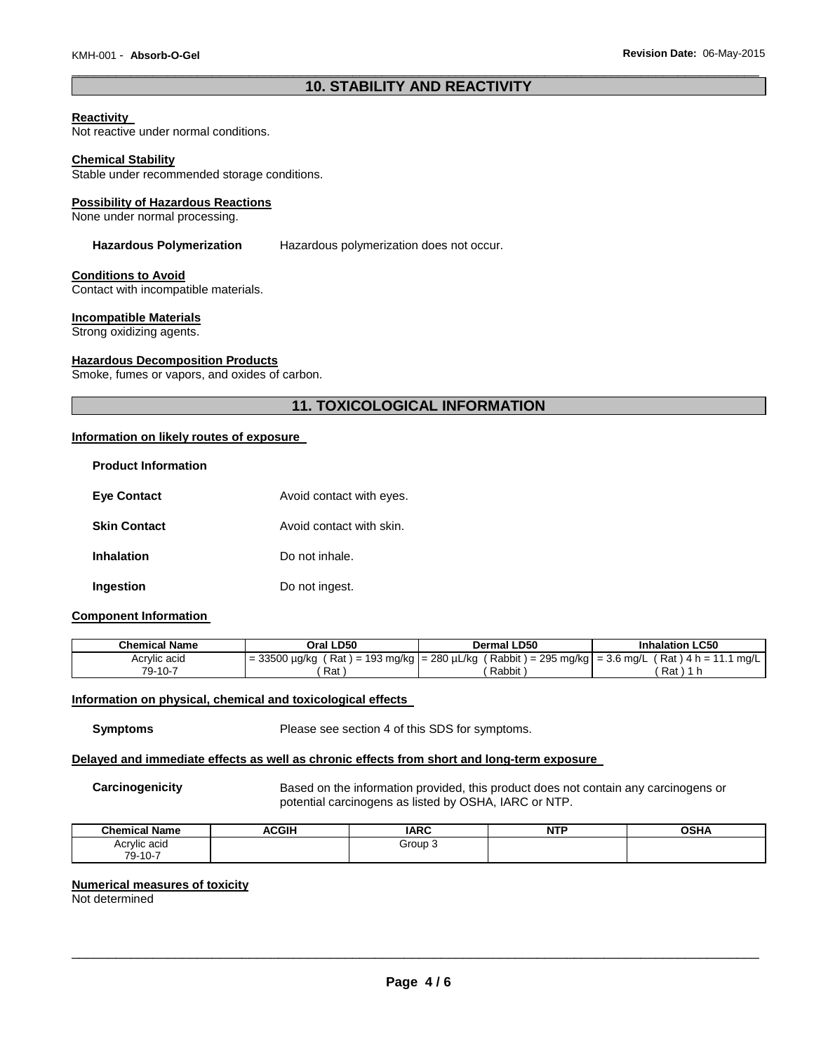### \_\_\_\_\_\_\_\_\_\_\_\_\_\_\_\_\_\_\_\_\_\_\_\_\_\_\_\_\_\_\_\_\_\_\_\_\_\_\_\_\_\_\_\_\_\_\_\_\_\_\_\_\_\_\_\_\_\_\_\_\_\_\_\_\_\_\_\_\_\_\_\_\_\_\_\_\_\_\_\_\_\_\_\_\_\_\_\_\_\_\_\_\_ **10. STABILITY AND REACTIVITY**

### **Reactivity**

Not reactive under normal conditions.

### **Chemical Stability**

Stable under recommended storage conditions.

### **Possibility of Hazardous Reactions**

None under normal processing.

**Hazardous Polymerization** Hazardous polymerization does not occur.

### **Conditions to Avoid**

Contact with incompatible materials.

### **Incompatible Materials**

Strong oxidizing agents.

### **Hazardous Decomposition Products**

Smoke, fumes or vapors, and oxides of carbon.

### **11. TOXICOLOGICAL INFORMATION**

### **Information on likely routes of exposure**

| <b>Product Information</b> |                          |
|----------------------------|--------------------------|
| <b>Eve Contact</b>         | Avoid contact with eyes. |
| <b>Skin Contact</b>        | Avoid contact with skin. |
| <b>Inhalation</b>          | Do not inhale.           |
| Ingestion                  | Do not ingest.           |

### **Component Information**

| Chemical Name | Oral LD50          | Dermal LD50                                                         | <b>Inhalation LC50</b>                |
|---------------|--------------------|---------------------------------------------------------------------|---------------------------------------|
| Acrylic acid  | $= 33500 \mu q/kg$ | (Rat) = 193 mg/kg   = 280 µL/kg (Rabbit) = 295 mg/kg   = 3.6 mg/L / | (Rat ) 4 h = 11.1<br>$1 \text{ ma/L}$ |
| 79-10-7       | Rat                | Rabbit                                                              | Rat                                   |

### **Information on physical, chemical and toxicological effects**

**Symptoms** Please see section 4 of this SDS for symptoms.

### **Delayed and immediate effects as well as chronic effects from short and long-term exposure**

**Carcinogenicity** Based on the information provided, this product does not contain any carcinogens or potential carcinogens as listed by OSHA, IARC or NTP.

| <b>Chemical Name</b> | <b>ACGIH</b> | <b>IARC</b><br>. Alv | <b>NTF</b> | OCDA<br>יוסי |
|----------------------|--------------|----------------------|------------|--------------|
| Acrvlic acid         |              | Group∶               |            |              |
| 79-10-7              |              |                      |            |              |

### **Numerical measures of toxicity**

Not determined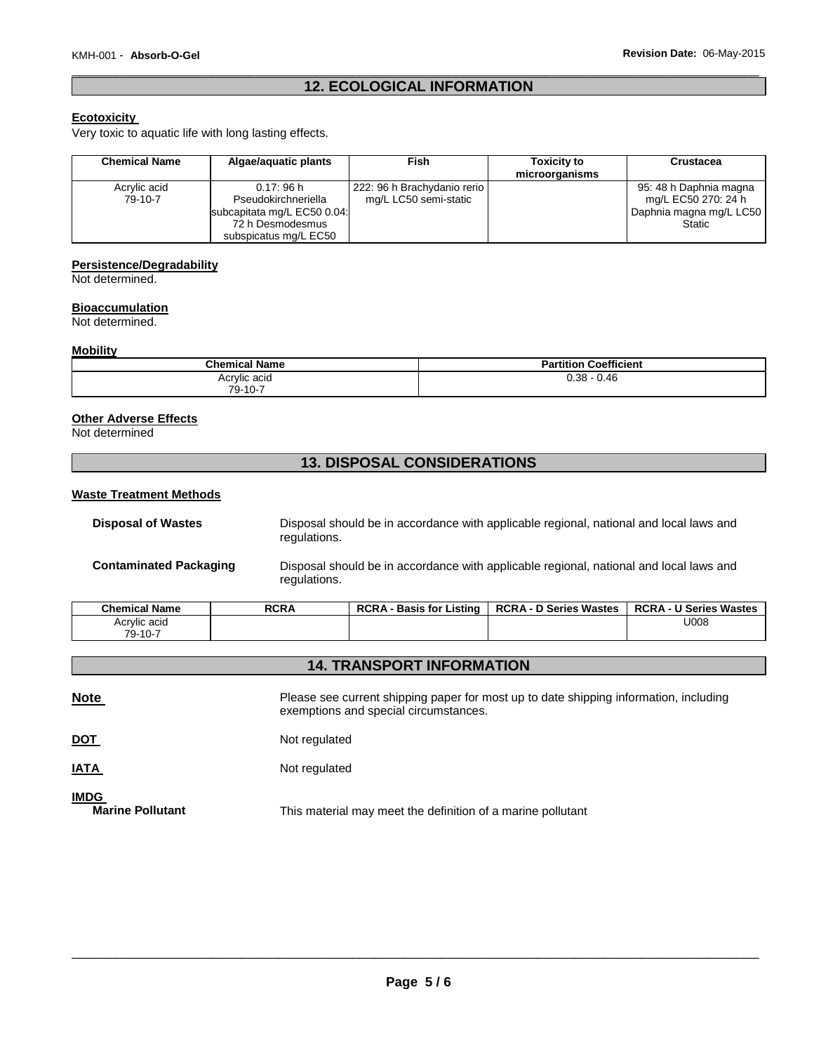### \_\_\_\_\_\_\_\_\_\_\_\_\_\_\_\_\_\_\_\_\_\_\_\_\_\_\_\_\_\_\_\_\_\_\_\_\_\_\_\_\_\_\_\_\_\_\_\_\_\_\_\_\_\_\_\_\_\_\_\_\_\_\_\_\_\_\_\_\_\_\_\_\_\_\_\_\_\_\_\_\_\_\_\_\_\_\_\_\_\_\_\_\_ **12. ECOLOGICAL INFORMATION**

### **Ecotoxicity**

Very toxic to aquatic life with long lasting effects.

| <b>Chemical Name</b> | Algae/aquatic plants        | Fish                        | <b>Toxicity to</b><br>microorganisms | <b>Crustacea</b>        |
|----------------------|-----------------------------|-----------------------------|--------------------------------------|-------------------------|
| Acrylic acid         | 0.17: 96 h                  | 222: 96 h Brachydanio rerio |                                      | 95: 48 h Daphnia magna  |
| 79-10-7              | Pseudokirchneriella         | mg/L LC50 semi-static       |                                      | mg/L EC50 270: 24 h     |
|                      | subcapitata mg/L EC50 0.04: |                             |                                      | Daphnia magna mg/L LC50 |
|                      | 72 h Desmodesmus            |                             |                                      | Static                  |
|                      | subspicatus mg/L EC50       |                             |                                      |                         |

### **Persistence/Degradability**

Not determined.

### **Bioaccumulation**

Not determined.

### **Mobility**

| <b>Chemical Name</b> | <b>Coefficient</b><br><b>Partition L</b> |
|----------------------|------------------------------------------|
| Acrylic acid         | $0.38 - 0.46$                            |
| 79-10-7              |                                          |

### **Other Adverse Effects**

Not determined

### **13. DISPOSAL CONSIDERATIONS**

### **Waste Treatment Methods**

| <b>Disposal of Wastes</b>     | Disposal should be in accordance with applicable regional, national and local laws and<br>regulations. |
|-------------------------------|--------------------------------------------------------------------------------------------------------|
| <b>Contaminated Packaging</b> | Disposal should be in accordance with applicable regional, national and local laws and<br>regulations. |

| <b>Chemical Name</b> | <b>RCRA</b> | <b>RCRA - Basis for Listing</b> | <b>RCRA - D Series Wastes</b> | <b>RCRA - U Series Wastes</b> |
|----------------------|-------------|---------------------------------|-------------------------------|-------------------------------|
| Acrylic acid         |             |                                 |                               | U008                          |
| 79-10-7              |             |                                 |                               |                               |

### **14. TRANSPORT INFORMATION**

| <b>Note</b> | Please see current shipping paper for most up to date shipping information, including<br>exemptions and special circumstances. |
|-------------|--------------------------------------------------------------------------------------------------------------------------------|
|             |                                                                                                                                |

**DOT** Not regulated

**IATA** Not regulated

**IMDG**<br>**Marine Pollutant Marine Pollutant** This material may meet the definition of a marine pollutant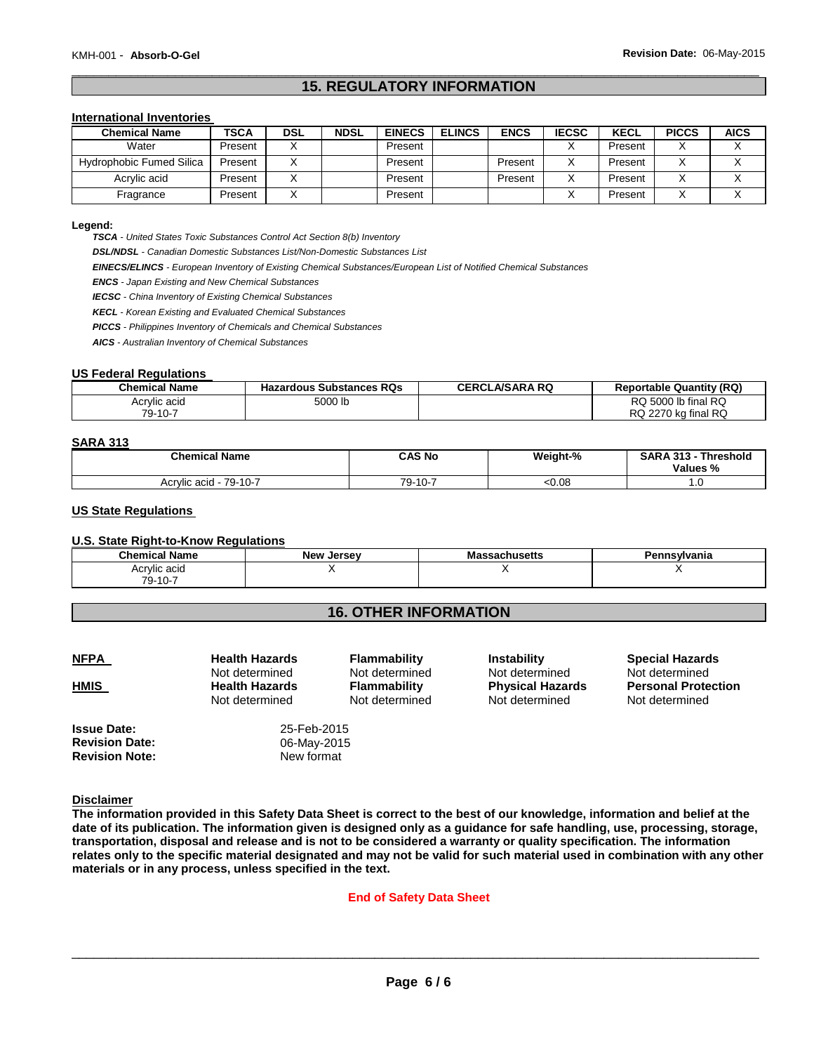### \_\_\_\_\_\_\_\_\_\_\_\_\_\_\_\_\_\_\_\_\_\_\_\_\_\_\_\_\_\_\_\_\_\_\_\_\_\_\_\_\_\_\_\_\_\_\_\_\_\_\_\_\_\_\_\_\_\_\_\_\_\_\_\_\_\_\_\_\_\_\_\_\_\_\_\_\_\_\_\_\_\_\_\_\_\_\_\_\_\_\_\_\_ **15. REGULATORY INFORMATION**

### **International Inventories**

| <b>Chemical Name</b>            | <b>TSCA</b> | <b>DSL</b> | <b>NDSL</b> | <b>EINECS</b> | <b>ELINCS</b> | <b>ENCS</b> | <b>IECSC</b> | <b>KECL</b> | <b>PICCS</b> | <b>AICS</b> |
|---------------------------------|-------------|------------|-------------|---------------|---------------|-------------|--------------|-------------|--------------|-------------|
| Water                           | Present     |            |             | Present       |               |             |              | Present     |              |             |
| <b>Hydrophobic Fumed Silica</b> | Present     |            |             | Present       |               | Present     |              | Present     |              | ↗           |
| Acrylic acid                    | Present     |            |             | Present       |               | Present     |              | Present     |              |             |
| Fragrance                       | Present     |            |             | Present       |               |             |              | Present     |              |             |

### **Legend:**

*TSCA - United States Toxic Substances Control Act Section 8(b) Inventory* 

*DSL/NDSL - Canadian Domestic Substances List/Non-Domestic Substances List* 

*EINECS/ELINCS - European Inventory of Existing Chemical Substances/European List of Notified Chemical Substances* 

*ENCS - Japan Existing and New Chemical Substances* 

*IECSC - China Inventory of Existing Chemical Substances* 

*KECL - Korean Existing and Evaluated Chemical Substances* 

*PICCS - Philippines Inventory of Chemicals and Chemical Substances* 

*AICS - Australian Inventory of Chemical Substances* 

### **US Federal Regulations**

| Chemical Name | <b>Hazardous Substances RQs</b> | <b>CERCLA/SARA RQ</b> | <b>Reportable Quantity (RQ)</b> |
|---------------|---------------------------------|-----------------------|---------------------------------|
| Acrylic acid  | 5000 lb                         |                       | RQ 5000 lb final RQ             |
| 79-10-7       |                                 |                       | RQ 2270 kg final RQ             |

### **SARA 313**

| <b>Chemical Name</b>      | CAS No                                                 | Weight-% | 242<br><b>Threshold</b><br><b>GADA</b><br>Values %<br>70 |
|---------------------------|--------------------------------------------------------|----------|----------------------------------------------------------|
| 79-10-7<br>Acrvlic acid - | $\overline{\phantom{a}}$<br>407<br>u.<br>.<br>$\sigma$ | :0.08    | . .                                                      |

### **US State Regulations**

### **U.S. State Right-to-Know Regulations**

**Revision Note:** New format

| <b>Chemical Name</b>   | <b>New Jersey</b> | ssachusetts<br>IVICI: | Pennsylvania |
|------------------------|-------------------|-----------------------|--------------|
| $\sim$<br>Acrylic acid |                   |                       |              |
| 79-10-7                |                   |                       |              |

### **16. OTHER INFORMATION**

| <b>NFPA</b>                                 | <b>Health Hazards</b>      | <b>Flammability</b> | <b>Instability</b>      | <b>Special Hazards</b>     |
|---------------------------------------------|----------------------------|---------------------|-------------------------|----------------------------|
|                                             | Not determined             | Not determined      | Not determined          | Not determined             |
| <b>HMIS</b>                                 | <b>Health Hazards</b>      | <b>Flammability</b> | <b>Physical Hazards</b> | <b>Personal Protection</b> |
|                                             | Not determined             | Not determined      | Not determined          | Not determined             |
| <b>Issue Date:</b><br><b>Revision Date:</b> | 25-Feb-2015<br>06-May-2015 |                     |                         |                            |

**Disclaimer**

**The information provided in this Safety Data Sheet is correct to the best of our knowledge, information and belief at the date of its publication. The information given is designed only as a guidance for safe handling, use, processing, storage, transportation, disposal and release and is not to be considered a warranty or quality specification. The information relates only to the specific material designated and may not be valid for such material used in combination with any other materials or in any process, unless specified in the text.** 

### **End of Safety Data Sheet**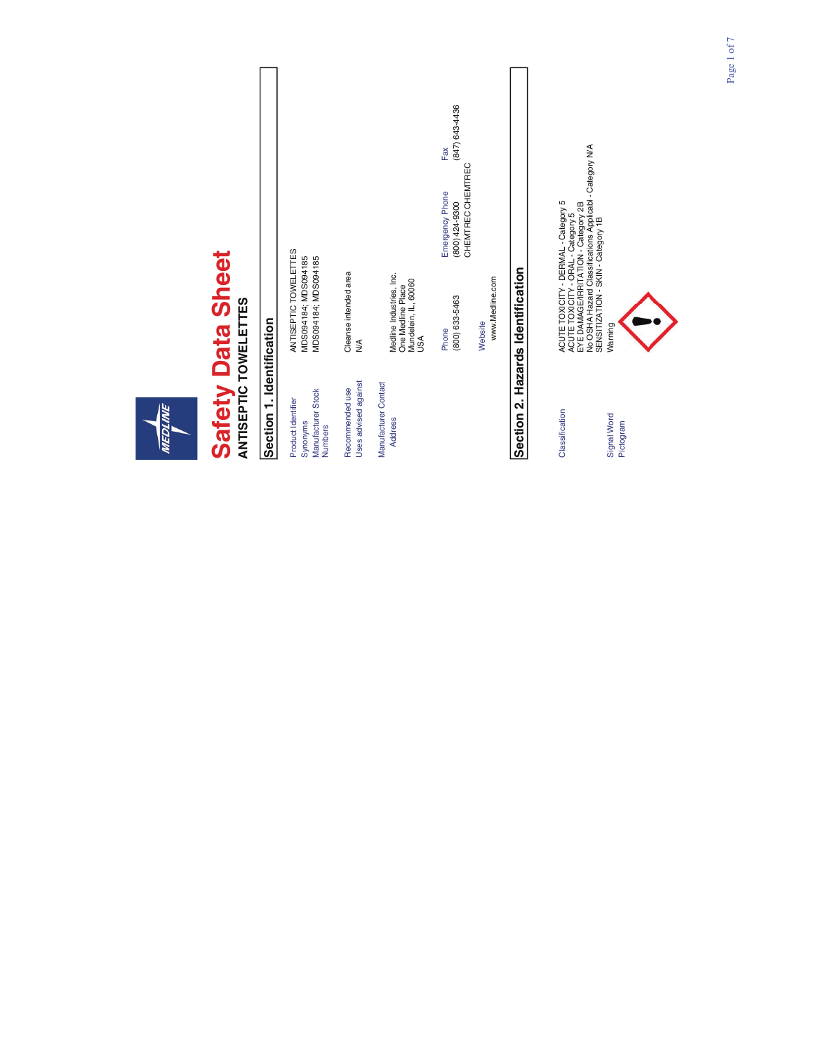|                |                                                          |                           |                                                                       |                                               |                                                                              | (847) 643-4436<br>Fax<br>CHEMTREC CHEMTREC<br>Emergency Phone<br>(800) 424-9300 |                            |                                   | ACUTE TOXICITY - DERMAL - Category 5<br>ACUTE TOXICITY - ORAL - Category 5<br>EYE DAMAGE/IRRITATION - Category 2B<br>EYE DAMAGE/IRRITATION - Category 2B<br>SENSITZATION - SKIN - Category 1B |                          |  |
|----------------|----------------------------------------------------------|---------------------------|-----------------------------------------------------------------------|-----------------------------------------------|------------------------------------------------------------------------------|---------------------------------------------------------------------------------|----------------------------|-----------------------------------|-----------------------------------------------------------------------------------------------------------------------------------------------------------------------------------------------|--------------------------|--|
|                | <b>Safety Data Sheet</b><br><b>ANTISEPTIC TOWELETTES</b> | Section 1. Identification | ANTISEPTIC TOWELETTES<br>MDS094184; MDS094185<br>MDS094184; MDS094185 | Cleanse intended area<br>$\frac{4}{\sqrt{2}}$ | Medline Industries, Inc.<br>One Medline Placé<br>Mundelein, IL, 60060<br>USA | $(800) 633 - 5463$<br>Phone                                                     | www.Medline.com<br>Website | Section 2. Hazards Identification |                                                                                                                                                                                               | Warning                  |  |
| <b>IEDLINE</b> |                                                          |                           | Manufacturer Stock<br>Product Identifier<br>Synonyms<br>Numbers       | Uses advised against<br>Recommended use       | Manufacturer Contact<br><b>Address</b>                                       |                                                                                 |                            |                                   | Classification                                                                                                                                                                                | Signal Word<br>Pictogram |  |
|                |                                                          |                           |                                                                       |                                               |                                                                              |                                                                                 |                            |                                   |                                                                                                                                                                                               |                          |  |
|                |                                                          |                           |                                                                       |                                               |                                                                              |                                                                                 |                            |                                   |                                                                                                                                                                                               |                          |  |
|                |                                                          |                           |                                                                       |                                               |                                                                              |                                                                                 |                            |                                   |                                                                                                                                                                                               |                          |  |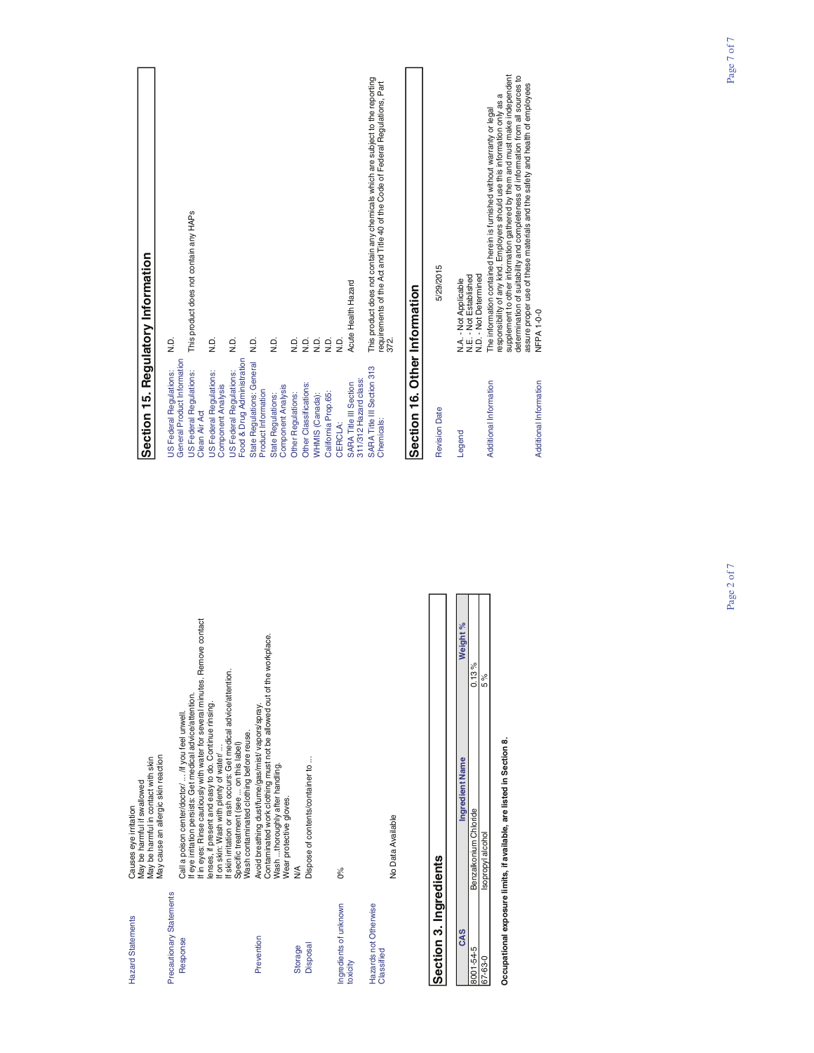| Hazard Statements                   | May be harmful in contact with skin<br>May be harmful if swallowed<br>Causes eye irritation                                                                                                    |                                                                                        | Section 15. Regulatory Information                                                                                                                                                                                                                                                                                       |
|-------------------------------------|------------------------------------------------------------------------------------------------------------------------------------------------------------------------------------------------|----------------------------------------------------------------------------------------|--------------------------------------------------------------------------------------------------------------------------------------------------------------------------------------------------------------------------------------------------------------------------------------------------------------------------|
| Precautionary Statements            | May cause an allergic skin reaction                                                                                                                                                            | US Federal Regulations:                                                                | Ξ.                                                                                                                                                                                                                                                                                                                       |
| Response                            | If in eyes: Rinse cautiously with water for several minutes. Remove contact<br>If eye irritation persists: Get medical advice/attention.<br>Call a poison center/doctor/  /if you feel unwell. | General Product Information<br>US Federal Regulations:<br>Clean Air Act                | This product does not contain any HAPs                                                                                                                                                                                                                                                                                   |
|                                     | If skin irritation or rash occurs: Get medical advice/attention.<br>lenses, if present and easy to do. Continue rinsing.<br>If on skin: Wash with plenty of water/                             | <b>US Federal Regulations:</b><br>JS Federal Regulations:<br><b>Component Analysis</b> | oj<br>N<br>oj<br>Z                                                                                                                                                                                                                                                                                                       |
|                                     | Wash contaminated clothing before reuse.<br>Specific treatment (see  on this label)                                                                                                            | Food & Drug Administration<br>State Regulations: General                               | oj<br>Z                                                                                                                                                                                                                                                                                                                  |
| Prevention                          | Contaminated work clothing must not be allowed out of the workplace.<br>Avoid breathing dust/fume/gas/mist/vapors/spray.<br>Wash thoroughly after handling.                                    | <b>Component Analysis</b><br>Product Information<br><b>State Regulations:</b>          | $\frac{1}{2}$                                                                                                                                                                                                                                                                                                            |
| Storage                             | Wear protective gloves.<br>≸                                                                                                                                                                   | Other Regulations:                                                                     | Q.<br>Z                                                                                                                                                                                                                                                                                                                  |
| Disposal                            | Dispose of contents/container to                                                                                                                                                               | Other Classifications:                                                                 | oj oj<br>Z                                                                                                                                                                                                                                                                                                               |
|                                     |                                                                                                                                                                                                | California Prop.65:<br>WHMIS (Canada):                                                 | Q.                                                                                                                                                                                                                                                                                                                       |
| Ingredients of unknown              | 0%                                                                                                                                                                                             | CERCLA:                                                                                | io.                                                                                                                                                                                                                                                                                                                      |
| toxicity                            |                                                                                                                                                                                                | 311/312 Hazard class:<br>SARA Title III Section                                        | Acute Health Hazard                                                                                                                                                                                                                                                                                                      |
| Hazards not Otherwise<br>Classified |                                                                                                                                                                                                | SARA Title III Section 313<br>Chemicals:                                               | This product does not contain any chemicals which are subject to the reporting<br>requirements of the Act and Title 40 of the Code of Federal Regulations, Part<br>372.                                                                                                                                                  |
|                                     | No Data Available                                                                                                                                                                              |                                                                                        |                                                                                                                                                                                                                                                                                                                          |
|                                     |                                                                                                                                                                                                | Section 16. Other Information                                                          |                                                                                                                                                                                                                                                                                                                          |
| Section 3. Ingredients              |                                                                                                                                                                                                | <b>Revision Date</b>                                                                   | 5/29/2015                                                                                                                                                                                                                                                                                                                |
| CAS                                 | Weight %<br>Ingredient Name                                                                                                                                                                    | Legend                                                                                 | N.A. - Not Applicable<br>N.E. - Not Established                                                                                                                                                                                                                                                                          |
| 8001-54-5                           | 0.13%<br>Benzalkonium Chloride                                                                                                                                                                 |                                                                                        | N.D. - Not Determined                                                                                                                                                                                                                                                                                                    |
| 67-63-0                             | 5 %<br>Occupational exposure limits, if available, are listed in Section 8.<br>sopropyl alcohol                                                                                                | Additional Information                                                                 | supplement to other information gathered by them and must make independent<br>determination of suitability and completeness of information from all sources to<br>responsibility of any kind. Employers should use this information only as a<br>The information contained herein is furnished without warranty or legal |
|                                     |                                                                                                                                                                                                | Additional Information                                                                 | assure proper use of these materials and the safety and health of employees<br><b>VFPA 1-0-0</b>                                                                                                                                                                                                                         |

| CAS       | gredient Name         | <b>Veight %</b> |
|-----------|-----------------------|-----------------|
| 8001-54-5 | Benzalkonium Chloride | $0.13\%$        |
| 67-63-0   | sopropyl alcohol      |                 |
|           |                       |                 |

Additional Information NFPA 1-0-0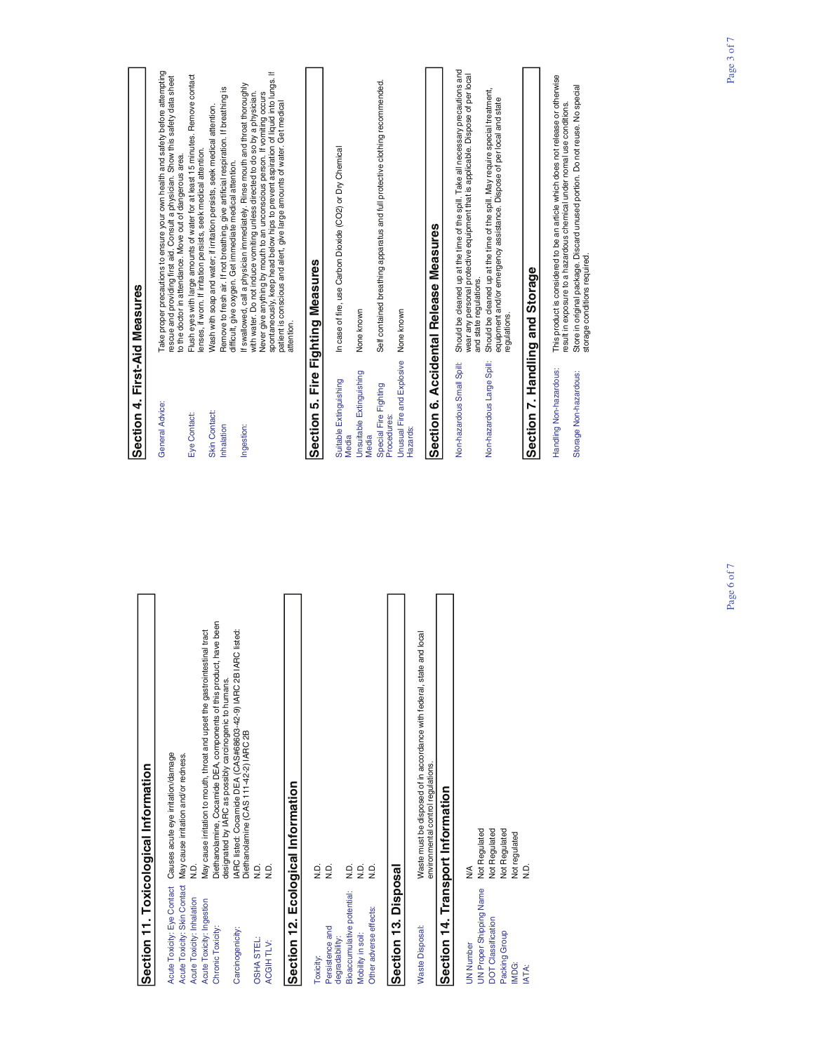| ï      |  |
|--------|--|
|        |  |
|        |  |
|        |  |
|        |  |
|        |  |
|        |  |
|        |  |
|        |  |
|        |  |
|        |  |
|        |  |
|        |  |
|        |  |
| l      |  |
|        |  |
|        |  |
|        |  |
|        |  |
| j      |  |
|        |  |
| ŗ<br>ı |  |
|        |  |
|        |  |
|        |  |
| ֕      |  |
|        |  |
|        |  |
|        |  |
|        |  |
|        |  |
| ì      |  |
|        |  |
|        |  |

| Acute Toxicity: Eye Contact Causes acute eye irritation/damage | Acute Toxicity: Skin Contact May cause irritation and/or redness. | $rac{c}{z}$                |
|----------------------------------------------------------------|-------------------------------------------------------------------|----------------------------|
|                                                                |                                                                   | Acuta Tovicity: Inhalation |

|                            | s shows the contribution of the contribution of the contribution of the contribution of the contribution of the contribution of the contribution of the contribution of the contribution of the contribution of the contributi |
|----------------------------|--------------------------------------------------------------------------------------------------------------------------------------------------------------------------------------------------------------------------------|
| Acute Toxicity: Inhalation | gi                                                                                                                                                                                                                             |
| Acute Toxicity: Ingestion  | May cause irritation to mouth, throat and upset the gastrointestinal tract                                                                                                                                                     |
| <b>Chronic Toxicity:</b>   | Diethanolamine, Cocamide DEA, components of this product, have been                                                                                                                                                            |
|                            | designated by IARC as possibly carcinogenic to humans.                                                                                                                                                                         |
| Carcinogenicity:           | ARC listed: Cocamide DEA (CAS#6803-42-9) IARC 2B IARC listed:                                                                                                                                                                  |
|                            | Diethanolamine (CAS 111-42-2) IARC 2B                                                                                                                                                                                          |
| OSHA STEL:                 | oj<br>Z                                                                                                                                                                                                                        |
| ACGIH TLV:                 | oj<br>Z                                                                                                                                                                                                                        |

# Section 12. Ecological Information **Section 12. Ecological Information**

| oj<br>Z<br>oj<br>Z           | oj<br>Z                                      | oj<br>Z           | ن<br>ع                 |
|------------------------------|----------------------------------------------|-------------------|------------------------|
| Persistence and<br>Toxicity: | Bioaccumulative potential:<br>degradability: | Mobility in soil: | Other adverse effects: |

### Section 13. Disposal **Section 13. Disposal**

Waste must be disposed of in accordance with federal, state and local<br>environmental control regulations. Waste Disposal: Waste must be disposed of in accordance with federal, state and local environmental control regulations. Waste Disposal:

# Section 14. Transport Information **Section 14. Transport Information**

| ≸                | Not Regulated           | Not Regulated             | Not Regulated | Not regulated | oj<br>Z      |
|------------------|-------------------------|---------------------------|---------------|---------------|--------------|
| <b>UN Number</b> | UN Proper Shipping Name | <b>DOT Classification</b> | Packing Group | IMDG:         | <b>IATA:</b> |

## Section 4. First-Aid Measures **Section 4. First-Aid Measures**

| General Advice: | Take proper precautions to ensure your own health and safety before attempting<br>rescue and providing first aid. Consult a physician. Show this safety data sheet<br>to the doctor in attendance. Move out of dangerous area.                                                                                                                                                                                            |
|-----------------|---------------------------------------------------------------------------------------------------------------------------------------------------------------------------------------------------------------------------------------------------------------------------------------------------------------------------------------------------------------------------------------------------------------------------|
| Eye Contact:    | Flush eyes with large amounts of water for at least 15 minutes. Remove contact<br>lenses, if worn. If irritation persists, seek medical attention.                                                                                                                                                                                                                                                                        |
| Skin Contact:   | Wash with soap and water; if irritation persists, seek medical attention.                                                                                                                                                                                                                                                                                                                                                 |
| Inhalation      | Remove to fresh air. If not breathing, give artificial respiration. If breathing is<br>difficult, give oxygen. Get immediate medical attention.                                                                                                                                                                                                                                                                           |
| Ingestion:      | spontaneously, keep head below hips to prevent aspiration of liquid into lungs. If<br>If swallowed, call a physician immediately. Rinse mouth and throat thoroughly<br>Never give anything by mouth to an unconscious person. If vomiting occurs<br>with water. Do not induce vomiting unless directed to do so by a physician.<br>patient is conscious and alert, give large amounts of water. Get medical<br>attention. |

# Section 5. Fire Fighting Measures **Section 5. Fire Fighting Measures**

| Suitable Extinguishing<br>Media                   | In case of fire, use Carbon Dioxide (CO2) or Dry Chemical                    |
|---------------------------------------------------|------------------------------------------------------------------------------|
| Jnsuitable Extinguishing<br>Media                 | None known                                                                   |
| Special Fire Fighting<br>Procedures:              | Self contained breathing apparatus and full protective clothing recommended. |
| Jnusual Fire and Explosive None known<br>Hazards: |                                                                              |
|                                                   |                                                                              |
|                                                   | Section 6. Accidental Release Measures                                       |
|                                                   |                                                                              |

| Non-hazardous Small Spill: Should be cleaned up at the time of the spill. Take all necessary precautions and | Non-hazardous Large Spill: Should be cleaned up at the time of the spill. May require special treatment, |
|--------------------------------------------------------------------------------------------------------------|----------------------------------------------------------------------------------------------------------|
| wear any personal protective equipment that is applicable. Dispose of per local                              | equipment and/or emergency assistance. Dispose of per local and state                                    |
| and state regulations.                                                                                       | regulations.                                                                                             |
|                                                                                                              |                                                                                                          |

# Section 7. Handling and Storage **Section 7. Handling and Storage**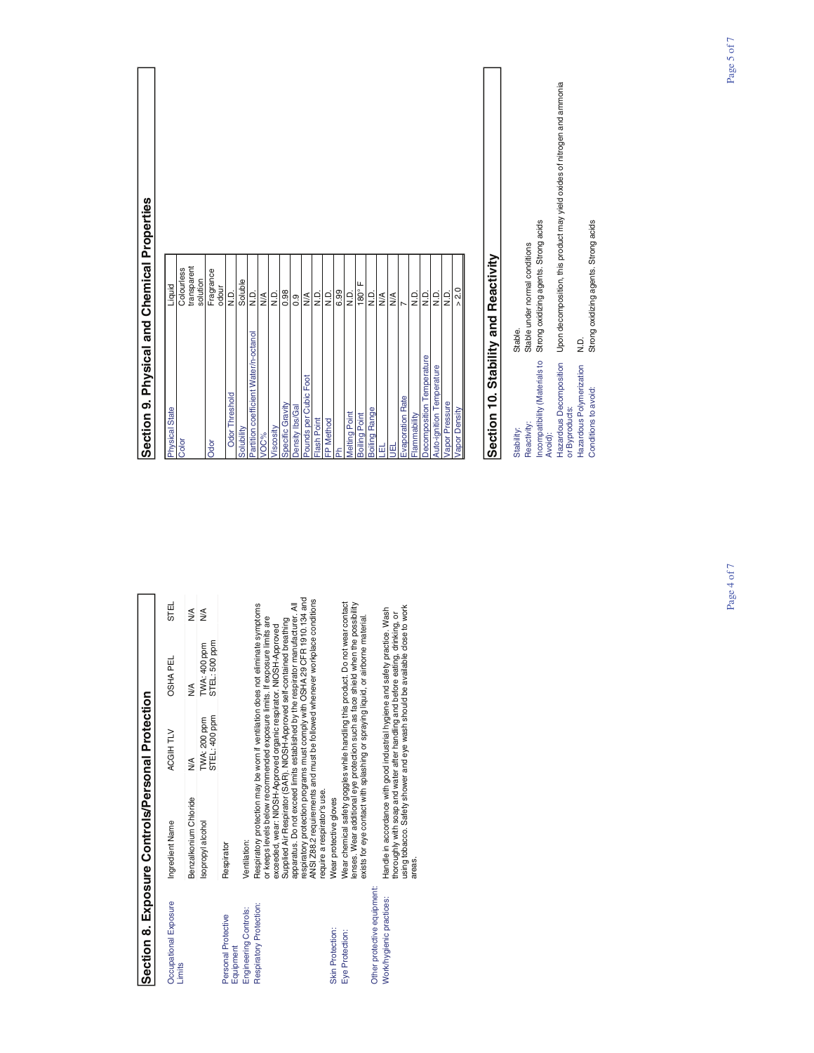| Strong oxidizing agents. Strong acids<br>Strong oxidizing agents. Strong acids<br>Stable under normal conditions<br>Section 10. Stability and Reactivity<br>transparent<br>Colourless<br>Fragrance<br>solution<br>Soluble<br>180°F<br>Liquid<br>odour<br>> 2.0<br>6.99<br>oj<br>Z<br>0.98<br>oi<br>Zi<br>oj<br>Zi<br>Qi<br>Zi<br>oi<br>N<br>oj<br>Z<br>oj<br>Zi<br>Qi<br>Zi<br>oj<br>Z<br>oj<br>N<br>oj<br>Z<br>≸<br>≸<br>≸<br>≸<br>0.9<br>$\overline{a}$<br>Stable.<br>Partition coefficient Water/n-octanol<br>Q.<br>Decomposition Temperature<br>Incompatibility (Materials to<br>Hazardous Decomposition<br>Hazardous Polymerization<br><b>Auto-ignition Temperature</b><br>Pounds per Cubic Foot<br>Conditions to avoid:<br>Odor Threshold<br><b>Evaporation Rate</b><br>Vapor Pressure<br>Specific Gravity<br>Density Ibs/Gal<br>or Byproducts:<br>Physical State<br><b>Vapor Density</b><br><b>Boiling Range</b><br><b>Melting Point</b><br><b>Boiling Point</b><br>Flammability<br>Flash Point<br>FP Method<br>Reactivity:<br>Viscosity<br>Solubility<br>Stability:<br>VOC%<br>Avoid):<br>Color<br>Odor<br>펔<br>피<br>운<br>apparatus. Do not exceed limits established by the respirator manufacturer. All<br>respiratory protection programs must comply with OSHA 29 CFR 1910.134 and<br>workplace conditions<br>STEL<br>Respiratory protection may be worn if ventilation does not eliminate symptoms<br>Do not wear contact<br>enses. Wear additional eye protection such as face shield when the possibility<br>thoroughly with soap and water after handling and before eating, drinking, or<br>using tobacco. Safety shower and eye wash should be available close to work<br>Handle in accordance with good industrial hygiene and safety practice. Wash<br>$\frac{4}{2}$<br>$\frac{4}{2}$<br>exists for eye contact with splashing or spraying liquid, or airborne material.<br>or keeps levels below recommended exposure limits. If exposure limits are<br>Supplied Air Respirator (SAR). NIOSH-Approved self-contained breathing<br>exceeded, wear: NIOSH-Approved organic respirator. NIOSH-Approved<br>500 ppm<br>TWA: 400 ppm<br>핀<br><b>OSHA</b><br>STEL:<br>ANSI Z88.2 requirements and must be followed whenever<br>Wear chemical safety goggles while handling this product.<br>$\frac{4}{2}$<br>STEL: 400 ppm<br>TWA: 200 ppm<br>ACGIH TLV<br>≸<br>require a respirator's use.<br>Benzalkonium Chloride<br>Wear protective gloves<br>Ingredient Name<br>Isopropyl alcohol<br>Ventilation:<br>Respirator<br>areas.<br>Other protective equipment:<br>Work/hygienic practices:<br>Occupational Exposure<br>Respiratory Protection:<br>Engineering Controls:<br>Personal Protective<br>Skin Protection:<br>Eye Protection:<br>Equipment<br>Limits | Section 8. Exposure Controls/Personal Protection |  | Section 9. Physical and Chemical Properties |  |
|---------------------------------------------------------------------------------------------------------------------------------------------------------------------------------------------------------------------------------------------------------------------------------------------------------------------------------------------------------------------------------------------------------------------------------------------------------------------------------------------------------------------------------------------------------------------------------------------------------------------------------------------------------------------------------------------------------------------------------------------------------------------------------------------------------------------------------------------------------------------------------------------------------------------------------------------------------------------------------------------------------------------------------------------------------------------------------------------------------------------------------------------------------------------------------------------------------------------------------------------------------------------------------------------------------------------------------------------------------------------------------------------------------------------------------------------------------------------------------------------------------------------------------------------------------------------------------------------------------------------------------------------------------------------------------------------------------------------------------------------------------------------------------------------------------------------------------------------------------------------------------------------------------------------------------------------------------------------------------------------------------------------------------------------------------------------------------------------------------------------------------------------------------------------------------------------------------------------------------------------------------------------------------------------------------------------------------------------------------------------------------------------------------------------------------------------------------------------------------------------------------------------------------------------------------------------------------------------------------------------------------------------------------------------------------------------------------------------------------------------------------------------------|--------------------------------------------------|--|---------------------------------------------|--|
| Upon decomposition, this product may yield oxides of nitrogen and ammonia                                                                                                                                                                                                                                                                                                                                                                                                                                                                                                                                                                                                                                                                                                                                                                                                                                                                                                                                                                                                                                                                                                                                                                                                                                                                                                                                                                                                                                                                                                                                                                                                                                                                                                                                                                                                                                                                                                                                                                                                                                                                                                                                                                                                                                                                                                                                                                                                                                                                                                                                                                                                                                                                                                 |                                                  |  |                                             |  |
|                                                                                                                                                                                                                                                                                                                                                                                                                                                                                                                                                                                                                                                                                                                                                                                                                                                                                                                                                                                                                                                                                                                                                                                                                                                                                                                                                                                                                                                                                                                                                                                                                                                                                                                                                                                                                                                                                                                                                                                                                                                                                                                                                                                                                                                                                                                                                                                                                                                                                                                                                                                                                                                                                                                                                                           |                                                  |  |                                             |  |
|                                                                                                                                                                                                                                                                                                                                                                                                                                                                                                                                                                                                                                                                                                                                                                                                                                                                                                                                                                                                                                                                                                                                                                                                                                                                                                                                                                                                                                                                                                                                                                                                                                                                                                                                                                                                                                                                                                                                                                                                                                                                                                                                                                                                                                                                                                                                                                                                                                                                                                                                                                                                                                                                                                                                                                           |                                                  |  |                                             |  |
|                                                                                                                                                                                                                                                                                                                                                                                                                                                                                                                                                                                                                                                                                                                                                                                                                                                                                                                                                                                                                                                                                                                                                                                                                                                                                                                                                                                                                                                                                                                                                                                                                                                                                                                                                                                                                                                                                                                                                                                                                                                                                                                                                                                                                                                                                                                                                                                                                                                                                                                                                                                                                                                                                                                                                                           |                                                  |  |                                             |  |
|                                                                                                                                                                                                                                                                                                                                                                                                                                                                                                                                                                                                                                                                                                                                                                                                                                                                                                                                                                                                                                                                                                                                                                                                                                                                                                                                                                                                                                                                                                                                                                                                                                                                                                                                                                                                                                                                                                                                                                                                                                                                                                                                                                                                                                                                                                                                                                                                                                                                                                                                                                                                                                                                                                                                                                           |                                                  |  |                                             |  |
|                                                                                                                                                                                                                                                                                                                                                                                                                                                                                                                                                                                                                                                                                                                                                                                                                                                                                                                                                                                                                                                                                                                                                                                                                                                                                                                                                                                                                                                                                                                                                                                                                                                                                                                                                                                                                                                                                                                                                                                                                                                                                                                                                                                                                                                                                                                                                                                                                                                                                                                                                                                                                                                                                                                                                                           |                                                  |  |                                             |  |
|                                                                                                                                                                                                                                                                                                                                                                                                                                                                                                                                                                                                                                                                                                                                                                                                                                                                                                                                                                                                                                                                                                                                                                                                                                                                                                                                                                                                                                                                                                                                                                                                                                                                                                                                                                                                                                                                                                                                                                                                                                                                                                                                                                                                                                                                                                                                                                                                                                                                                                                                                                                                                                                                                                                                                                           |                                                  |  |                                             |  |
|                                                                                                                                                                                                                                                                                                                                                                                                                                                                                                                                                                                                                                                                                                                                                                                                                                                                                                                                                                                                                                                                                                                                                                                                                                                                                                                                                                                                                                                                                                                                                                                                                                                                                                                                                                                                                                                                                                                                                                                                                                                                                                                                                                                                                                                                                                                                                                                                                                                                                                                                                                                                                                                                                                                                                                           |                                                  |  |                                             |  |
|                                                                                                                                                                                                                                                                                                                                                                                                                                                                                                                                                                                                                                                                                                                                                                                                                                                                                                                                                                                                                                                                                                                                                                                                                                                                                                                                                                                                                                                                                                                                                                                                                                                                                                                                                                                                                                                                                                                                                                                                                                                                                                                                                                                                                                                                                                                                                                                                                                                                                                                                                                                                                                                                                                                                                                           |                                                  |  |                                             |  |
|                                                                                                                                                                                                                                                                                                                                                                                                                                                                                                                                                                                                                                                                                                                                                                                                                                                                                                                                                                                                                                                                                                                                                                                                                                                                                                                                                                                                                                                                                                                                                                                                                                                                                                                                                                                                                                                                                                                                                                                                                                                                                                                                                                                                                                                                                                                                                                                                                                                                                                                                                                                                                                                                                                                                                                           |                                                  |  |                                             |  |
|                                                                                                                                                                                                                                                                                                                                                                                                                                                                                                                                                                                                                                                                                                                                                                                                                                                                                                                                                                                                                                                                                                                                                                                                                                                                                                                                                                                                                                                                                                                                                                                                                                                                                                                                                                                                                                                                                                                                                                                                                                                                                                                                                                                                                                                                                                                                                                                                                                                                                                                                                                                                                                                                                                                                                                           |                                                  |  |                                             |  |
|                                                                                                                                                                                                                                                                                                                                                                                                                                                                                                                                                                                                                                                                                                                                                                                                                                                                                                                                                                                                                                                                                                                                                                                                                                                                                                                                                                                                                                                                                                                                                                                                                                                                                                                                                                                                                                                                                                                                                                                                                                                                                                                                                                                                                                                                                                                                                                                                                                                                                                                                                                                                                                                                                                                                                                           |                                                  |  |                                             |  |
|                                                                                                                                                                                                                                                                                                                                                                                                                                                                                                                                                                                                                                                                                                                                                                                                                                                                                                                                                                                                                                                                                                                                                                                                                                                                                                                                                                                                                                                                                                                                                                                                                                                                                                                                                                                                                                                                                                                                                                                                                                                                                                                                                                                                                                                                                                                                                                                                                                                                                                                                                                                                                                                                                                                                                                           |                                                  |  |                                             |  |
|                                                                                                                                                                                                                                                                                                                                                                                                                                                                                                                                                                                                                                                                                                                                                                                                                                                                                                                                                                                                                                                                                                                                                                                                                                                                                                                                                                                                                                                                                                                                                                                                                                                                                                                                                                                                                                                                                                                                                                                                                                                                                                                                                                                                                                                                                                                                                                                                                                                                                                                                                                                                                                                                                                                                                                           |                                                  |  |                                             |  |
|                                                                                                                                                                                                                                                                                                                                                                                                                                                                                                                                                                                                                                                                                                                                                                                                                                                                                                                                                                                                                                                                                                                                                                                                                                                                                                                                                                                                                                                                                                                                                                                                                                                                                                                                                                                                                                                                                                                                                                                                                                                                                                                                                                                                                                                                                                                                                                                                                                                                                                                                                                                                                                                                                                                                                                           |                                                  |  |                                             |  |
|                                                                                                                                                                                                                                                                                                                                                                                                                                                                                                                                                                                                                                                                                                                                                                                                                                                                                                                                                                                                                                                                                                                                                                                                                                                                                                                                                                                                                                                                                                                                                                                                                                                                                                                                                                                                                                                                                                                                                                                                                                                                                                                                                                                                                                                                                                                                                                                                                                                                                                                                                                                                                                                                                                                                                                           |                                                  |  |                                             |  |
|                                                                                                                                                                                                                                                                                                                                                                                                                                                                                                                                                                                                                                                                                                                                                                                                                                                                                                                                                                                                                                                                                                                                                                                                                                                                                                                                                                                                                                                                                                                                                                                                                                                                                                                                                                                                                                                                                                                                                                                                                                                                                                                                                                                                                                                                                                                                                                                                                                                                                                                                                                                                                                                                                                                                                                           |                                                  |  |                                             |  |
|                                                                                                                                                                                                                                                                                                                                                                                                                                                                                                                                                                                                                                                                                                                                                                                                                                                                                                                                                                                                                                                                                                                                                                                                                                                                                                                                                                                                                                                                                                                                                                                                                                                                                                                                                                                                                                                                                                                                                                                                                                                                                                                                                                                                                                                                                                                                                                                                                                                                                                                                                                                                                                                                                                                                                                           |                                                  |  |                                             |  |
|                                                                                                                                                                                                                                                                                                                                                                                                                                                                                                                                                                                                                                                                                                                                                                                                                                                                                                                                                                                                                                                                                                                                                                                                                                                                                                                                                                                                                                                                                                                                                                                                                                                                                                                                                                                                                                                                                                                                                                                                                                                                                                                                                                                                                                                                                                                                                                                                                                                                                                                                                                                                                                                                                                                                                                           |                                                  |  |                                             |  |
|                                                                                                                                                                                                                                                                                                                                                                                                                                                                                                                                                                                                                                                                                                                                                                                                                                                                                                                                                                                                                                                                                                                                                                                                                                                                                                                                                                                                                                                                                                                                                                                                                                                                                                                                                                                                                                                                                                                                                                                                                                                                                                                                                                                                                                                                                                                                                                                                                                                                                                                                                                                                                                                                                                                                                                           |                                                  |  |                                             |  |
|                                                                                                                                                                                                                                                                                                                                                                                                                                                                                                                                                                                                                                                                                                                                                                                                                                                                                                                                                                                                                                                                                                                                                                                                                                                                                                                                                                                                                                                                                                                                                                                                                                                                                                                                                                                                                                                                                                                                                                                                                                                                                                                                                                                                                                                                                                                                                                                                                                                                                                                                                                                                                                                                                                                                                                           |                                                  |  |                                             |  |
|                                                                                                                                                                                                                                                                                                                                                                                                                                                                                                                                                                                                                                                                                                                                                                                                                                                                                                                                                                                                                                                                                                                                                                                                                                                                                                                                                                                                                                                                                                                                                                                                                                                                                                                                                                                                                                                                                                                                                                                                                                                                                                                                                                                                                                                                                                                                                                                                                                                                                                                                                                                                                                                                                                                                                                           |                                                  |  |                                             |  |
|                                                                                                                                                                                                                                                                                                                                                                                                                                                                                                                                                                                                                                                                                                                                                                                                                                                                                                                                                                                                                                                                                                                                                                                                                                                                                                                                                                                                                                                                                                                                                                                                                                                                                                                                                                                                                                                                                                                                                                                                                                                                                                                                                                                                                                                                                                                                                                                                                                                                                                                                                                                                                                                                                                                                                                           |                                                  |  |                                             |  |
|                                                                                                                                                                                                                                                                                                                                                                                                                                                                                                                                                                                                                                                                                                                                                                                                                                                                                                                                                                                                                                                                                                                                                                                                                                                                                                                                                                                                                                                                                                                                                                                                                                                                                                                                                                                                                                                                                                                                                                                                                                                                                                                                                                                                                                                                                                                                                                                                                                                                                                                                                                                                                                                                                                                                                                           |                                                  |  |                                             |  |
|                                                                                                                                                                                                                                                                                                                                                                                                                                                                                                                                                                                                                                                                                                                                                                                                                                                                                                                                                                                                                                                                                                                                                                                                                                                                                                                                                                                                                                                                                                                                                                                                                                                                                                                                                                                                                                                                                                                                                                                                                                                                                                                                                                                                                                                                                                                                                                                                                                                                                                                                                                                                                                                                                                                                                                           |                                                  |  |                                             |  |
|                                                                                                                                                                                                                                                                                                                                                                                                                                                                                                                                                                                                                                                                                                                                                                                                                                                                                                                                                                                                                                                                                                                                                                                                                                                                                                                                                                                                                                                                                                                                                                                                                                                                                                                                                                                                                                                                                                                                                                                                                                                                                                                                                                                                                                                                                                                                                                                                                                                                                                                                                                                                                                                                                                                                                                           |                                                  |  |                                             |  |
|                                                                                                                                                                                                                                                                                                                                                                                                                                                                                                                                                                                                                                                                                                                                                                                                                                                                                                                                                                                                                                                                                                                                                                                                                                                                                                                                                                                                                                                                                                                                                                                                                                                                                                                                                                                                                                                                                                                                                                                                                                                                                                                                                                                                                                                                                                                                                                                                                                                                                                                                                                                                                                                                                                                                                                           |                                                  |  |                                             |  |
|                                                                                                                                                                                                                                                                                                                                                                                                                                                                                                                                                                                                                                                                                                                                                                                                                                                                                                                                                                                                                                                                                                                                                                                                                                                                                                                                                                                                                                                                                                                                                                                                                                                                                                                                                                                                                                                                                                                                                                                                                                                                                                                                                                                                                                                                                                                                                                                                                                                                                                                                                                                                                                                                                                                                                                           |                                                  |  |                                             |  |
|                                                                                                                                                                                                                                                                                                                                                                                                                                                                                                                                                                                                                                                                                                                                                                                                                                                                                                                                                                                                                                                                                                                                                                                                                                                                                                                                                                                                                                                                                                                                                                                                                                                                                                                                                                                                                                                                                                                                                                                                                                                                                                                                                                                                                                                                                                                                                                                                                                                                                                                                                                                                                                                                                                                                                                           |                                                  |  |                                             |  |
|                                                                                                                                                                                                                                                                                                                                                                                                                                                                                                                                                                                                                                                                                                                                                                                                                                                                                                                                                                                                                                                                                                                                                                                                                                                                                                                                                                                                                                                                                                                                                                                                                                                                                                                                                                                                                                                                                                                                                                                                                                                                                                                                                                                                                                                                                                                                                                                                                                                                                                                                                                                                                                                                                                                                                                           |                                                  |  |                                             |  |
|                                                                                                                                                                                                                                                                                                                                                                                                                                                                                                                                                                                                                                                                                                                                                                                                                                                                                                                                                                                                                                                                                                                                                                                                                                                                                                                                                                                                                                                                                                                                                                                                                                                                                                                                                                                                                                                                                                                                                                                                                                                                                                                                                                                                                                                                                                                                                                                                                                                                                                                                                                                                                                                                                                                                                                           |                                                  |  |                                             |  |
|                                                                                                                                                                                                                                                                                                                                                                                                                                                                                                                                                                                                                                                                                                                                                                                                                                                                                                                                                                                                                                                                                                                                                                                                                                                                                                                                                                                                                                                                                                                                                                                                                                                                                                                                                                                                                                                                                                                                                                                                                                                                                                                                                                                                                                                                                                                                                                                                                                                                                                                                                                                                                                                                                                                                                                           |                                                  |  |                                             |  |
|                                                                                                                                                                                                                                                                                                                                                                                                                                                                                                                                                                                                                                                                                                                                                                                                                                                                                                                                                                                                                                                                                                                                                                                                                                                                                                                                                                                                                                                                                                                                                                                                                                                                                                                                                                                                                                                                                                                                                                                                                                                                                                                                                                                                                                                                                                                                                                                                                                                                                                                                                                                                                                                                                                                                                                           |                                                  |  |                                             |  |
|                                                                                                                                                                                                                                                                                                                                                                                                                                                                                                                                                                                                                                                                                                                                                                                                                                                                                                                                                                                                                                                                                                                                                                                                                                                                                                                                                                                                                                                                                                                                                                                                                                                                                                                                                                                                                                                                                                                                                                                                                                                                                                                                                                                                                                                                                                                                                                                                                                                                                                                                                                                                                                                                                                                                                                           |                                                  |  |                                             |  |
|                                                                                                                                                                                                                                                                                                                                                                                                                                                                                                                                                                                                                                                                                                                                                                                                                                                                                                                                                                                                                                                                                                                                                                                                                                                                                                                                                                                                                                                                                                                                                                                                                                                                                                                                                                                                                                                                                                                                                                                                                                                                                                                                                                                                                                                                                                                                                                                                                                                                                                                                                                                                                                                                                                                                                                           |                                                  |  |                                             |  |
|                                                                                                                                                                                                                                                                                                                                                                                                                                                                                                                                                                                                                                                                                                                                                                                                                                                                                                                                                                                                                                                                                                                                                                                                                                                                                                                                                                                                                                                                                                                                                                                                                                                                                                                                                                                                                                                                                                                                                                                                                                                                                                                                                                                                                                                                                                                                                                                                                                                                                                                                                                                                                                                                                                                                                                           |                                                  |  |                                             |  |

Page 5 of 7

Page 4 of 7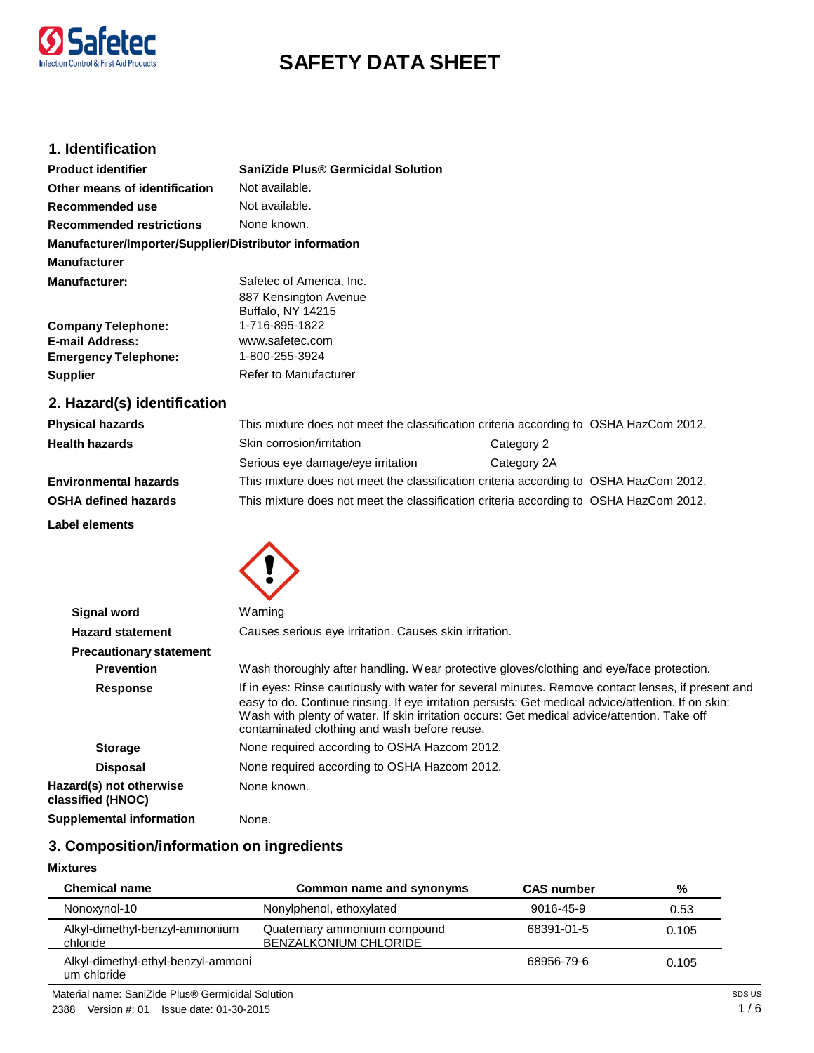

### **SAFETY DATA SHEET**

### **1. Identification**

| <b>Product identifier</b>                              | <b>SaniZide Plus® Germicidal Solution</b> |
|--------------------------------------------------------|-------------------------------------------|
| Other means of identification                          | Not available.                            |
| Recommended use                                        | Not available.                            |
| <b>Recommended restrictions</b>                        | None known.                               |
| Manufacturer/Importer/Supplier/Distributor information |                                           |
| <b>Manufacturer</b>                                    |                                           |
| <b>Manufacturer:</b>                                   | Safetec of America, Inc.                  |
|                                                        | 887 Kensington Avenue                     |
|                                                        | <b>Buffalo, NY 14215</b>                  |
| <b>Company Telephone:</b>                              | 1-716-895-1822                            |
| <b>E-mail Address:</b>                                 | www.safetec.com                           |
| <b>Emergency Telephone:</b>                            | 1-800-255-3924                            |

**Supplier** Refer to Manufacturer

### **2. Hazard(s) identification**

| <b>Physical hazards</b>      | This mixture does not meet the classification criteria according to OSHA HazCom 2012. |             |  |
|------------------------------|---------------------------------------------------------------------------------------|-------------|--|
| <b>Health hazards</b>        | Skin corrosion/irritation                                                             | Category 2  |  |
|                              | Serious eye damage/eye irritation                                                     | Category 2A |  |
| <b>Environmental hazards</b> | This mixture does not meet the classification criteria according to OSHA HazCom 2012. |             |  |
| <b>OSHA defined hazards</b>  | This mixture does not meet the classification criteria according to OSHA HazCom 2012. |             |  |
| Label elements               |                                                                                       |             |  |



| Signal word                                  | Warning                                                                                                                                                                                                                                                                                                                                                   |
|----------------------------------------------|-----------------------------------------------------------------------------------------------------------------------------------------------------------------------------------------------------------------------------------------------------------------------------------------------------------------------------------------------------------|
| <b>Hazard statement</b>                      | Causes serious eye irritation. Causes skin irritation.                                                                                                                                                                                                                                                                                                    |
| <b>Precautionary statement</b>               |                                                                                                                                                                                                                                                                                                                                                           |
| <b>Prevention</b>                            | Wash thoroughly after handling. Wear protective gloves/clothing and eye/face protection.                                                                                                                                                                                                                                                                  |
| <b>Response</b>                              | If in eyes: Rinse cautiously with water for several minutes. Remove contact lenses, if present and<br>easy to do. Continue rinsing. If eye irritation persists: Get medical advice/attention. If on skin:<br>Wash with plenty of water. If skin irritation occurs: Get medical advice/attention. Take off<br>contaminated clothing and wash before reuse. |
| <b>Storage</b>                               | None required according to OSHA Hazcom 2012.                                                                                                                                                                                                                                                                                                              |
| <b>Disposal</b>                              | None required according to OSHA Hazcom 2012.                                                                                                                                                                                                                                                                                                              |
| Hazard(s) not otherwise<br>classified (HNOC) | None known.                                                                                                                                                                                                                                                                                                                                               |
| <b>Supplemental information</b>              | None.                                                                                                                                                                                                                                                                                                                                                     |

### **3. Composition/information on ingredients**

### **Mixtures**

| <b>Chemical name</b>                              | Common name and synonyms                              | <b>CAS number</b> | %     |
|---------------------------------------------------|-------------------------------------------------------|-------------------|-------|
| Nonoxynol-10                                      | Nonylphenol, ethoxylated                              | 9016-45-9         | 0.53  |
| Alkyl-dimethyl-benzyl-ammonium<br>chloride        | Quaternary ammonium compound<br>BENZALKONIUM CHLORIDE | 68391-01-5        | 0.105 |
| Alkyl-dimethyl-ethyl-benzyl-ammoni<br>um chloride |                                                       | 68956-79-6        | 0.105 |

Material name: SaniZide Plus® Germicidal Solution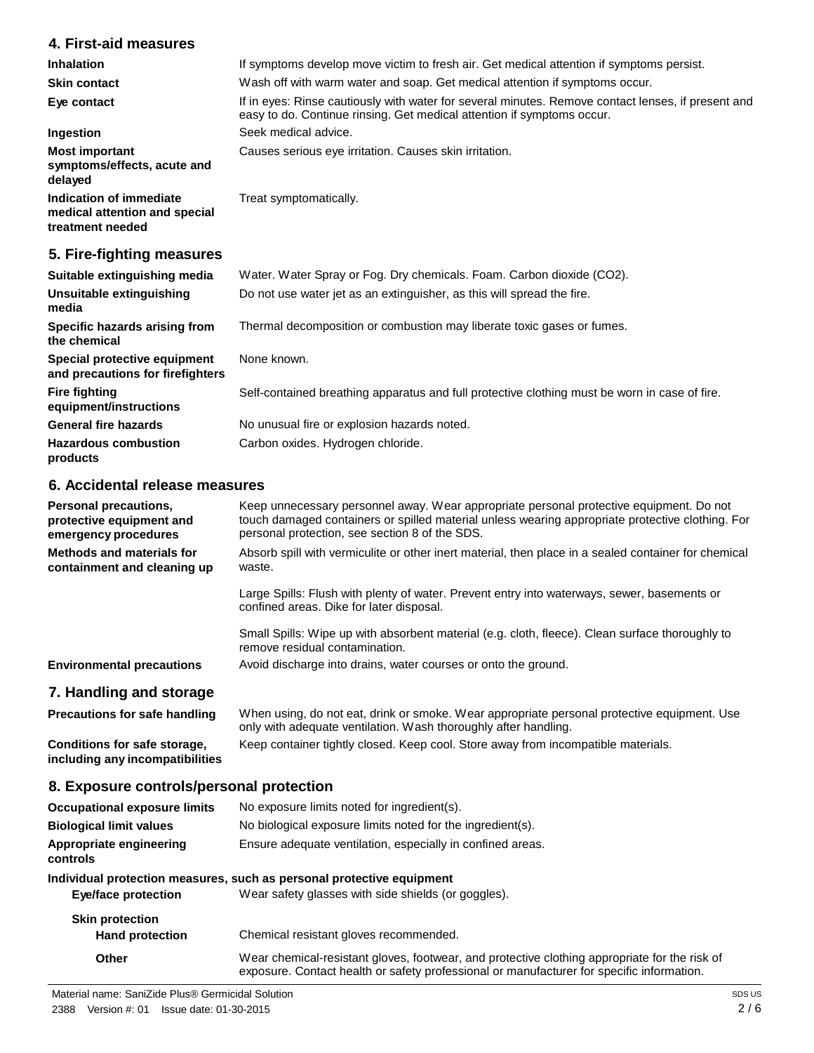### **4. First-aid measures Inhalation** If symptoms develop move victim to fresh air. Get medical attention if symptoms persist. **Skin contact** Wash off with warm water and soap. Get medical attention if symptoms occur. **Eye contact** If in eyes: Rinse cautiously with water for several minutes. Remove contact lenses, if present and easy to do. Continue rinsing. Get medical attention if symptoms occur. **Ingestion** Seek medical advice. **Most important symptoms/effects, acute and delayed Indication of immediate medical attention and special treatment needed 5. Fire-fighting measures** Causes serious eye irritation. Causes skin irritation. Treat symptomatically. **Suitable extinguishing media** Water. Water Spray or Fog. Dry chemicals. Foam. Carbon dioxide (CO2).

Do not use water jet as an extinguisher, as this will spread the fire.

Thermal decomposition or combustion may liberate toxic gases or fumes.

Self-contained breathing apparatus and full protective clothing must be worn in case of fire.

### **6. Accidental release measures**

None known.

Carbon oxides. Hydrogen chloride.

**General fire hazards** No unusual fire or explosion hazards noted.

**Unsuitable extinguishing** 

**Specific hazards arising from** 

**Special protective equipment and precautions for firefighters**

**equipment/instructions**

**Hazardous combustion** 

**media**

**the chemical**

**Fire fighting** 

**products**

| <b>Personal precautions,</b><br>protective equipment and<br>emergency procedures | Keep unnecessary personnel away. Wear appropriate personal protective equipment. Do not<br>touch damaged containers or spilled material unless wearing appropriate protective clothing. For<br>personal protection, see section 8 of the SDS. |
|----------------------------------------------------------------------------------|-----------------------------------------------------------------------------------------------------------------------------------------------------------------------------------------------------------------------------------------------|
| Methods and materials for<br>containment and cleaning up                         | Absorb spill with vermiculite or other inert material, then place in a sealed container for chemical<br>waste.                                                                                                                                |
|                                                                                  | Large Spills: Flush with plenty of water. Prevent entry into waterways, sewer, basements or<br>confined areas. Dike for later disposal.                                                                                                       |
|                                                                                  | Small Spills: Wipe up with absorbent material (e.g. cloth, fleece). Clean surface thoroughly to<br>remove residual contamination.                                                                                                             |
| <b>Environmental precautions</b>                                                 | Avoid discharge into drains, water courses or onto the ground.                                                                                                                                                                                |
| 7. Handling and storage                                                          |                                                                                                                                                                                                                                               |
| <b>Precautions for safe handling</b>                                             | When using, do not eat, drink or smoke. Wear appropriate personal protective equipment. Use<br>only with adequate ventilation. Wash thoroughly after handling.                                                                                |
| Conditions for safe storage,                                                     | Keep container tightly closed. Keep cool. Store away from incompatible materials.                                                                                                                                                             |

### **8. Exposure controls/personal protection**

**including any incompatibilities**

| <b>Occupational exposure limits</b> | No exposure limits noted for ingredient(s).                                                                                                                                                |  |
|-------------------------------------|--------------------------------------------------------------------------------------------------------------------------------------------------------------------------------------------|--|
| <b>Biological limit values</b>      | No biological exposure limits noted for the ingredient(s).                                                                                                                                 |  |
| Appropriate engineering<br>controls | Ensure adequate ventilation, especially in confined areas.                                                                                                                                 |  |
|                                     | Individual protection measures, such as personal protective equipment                                                                                                                      |  |
| Eye/face protection                 | Wear safety glasses with side shields (or goggles).                                                                                                                                        |  |
| <b>Skin protection</b>              |                                                                                                                                                                                            |  |
| <b>Hand protection</b>              | Chemical resistant gloves recommended.                                                                                                                                                     |  |
| <b>Other</b>                        | Wear chemical-resistant gloves, footwear, and protective clothing appropriate for the risk of<br>exposure. Contact health or safety professional or manufacturer for specific information. |  |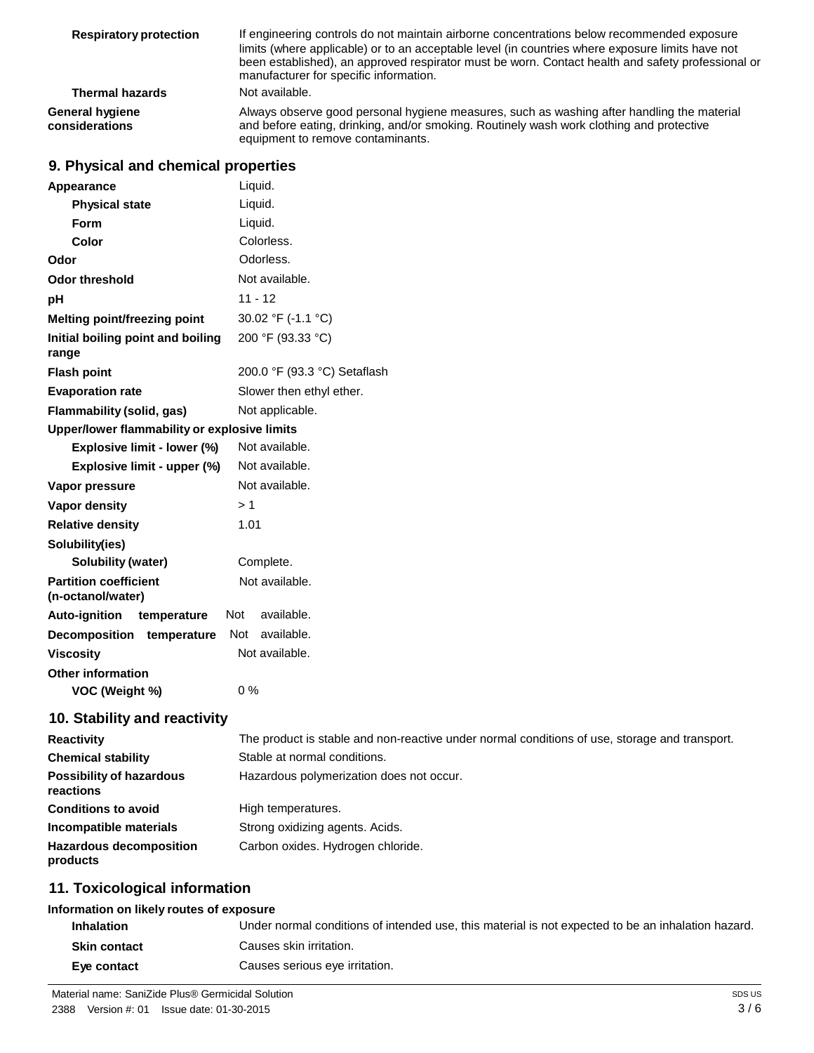| <b>Respiratory protection</b>     | If engineering controls do not maintain airborne concentrations below recommended exposure<br>limits (where applicable) or to an acceptable level (in countries where exposure limits have not<br>been established), an approved respirator must be worn. Contact health and safety professional or<br>manufacturer for specific information. |
|-----------------------------------|-----------------------------------------------------------------------------------------------------------------------------------------------------------------------------------------------------------------------------------------------------------------------------------------------------------------------------------------------|
| <b>Thermal hazards</b>            | Not available.                                                                                                                                                                                                                                                                                                                                |
| General hygiene<br>considerations | Always observe good personal hygiene measures, such as washing after handling the material<br>and before eating, drinking, and/or smoking. Routinely wash work clothing and protective<br>equipment to remove contaminants.                                                                                                                   |

### **9. Physical and chemical properties**

| Appearance                                        | Liquid.                      |  |  |
|---------------------------------------------------|------------------------------|--|--|
| <b>Physical state</b>                             | Liquid.                      |  |  |
| Form                                              | Liquid.                      |  |  |
| Color                                             | Colorless.                   |  |  |
| Odor                                              | Odorless.                    |  |  |
| <b>Odor threshold</b>                             | Not available.               |  |  |
| рH                                                | $11 - 12$                    |  |  |
| <b>Melting point/freezing point</b>               | 30.02 °F (-1.1 °C)           |  |  |
| Initial boiling point and boiling<br>range        | 200 °F (93.33 °C)            |  |  |
| <b>Flash point</b>                                | 200.0 °F (93.3 °C) Setaflash |  |  |
| <b>Evaporation rate</b>                           | Slower then ethyl ether.     |  |  |
| Flammability (solid, gas)                         | Not applicable.              |  |  |
| Upper/lower flammability or explosive limits      |                              |  |  |
| Explosive limit - lower (%)                       | Not available.               |  |  |
| Explosive limit - upper (%)                       | Not available.               |  |  |
| Vapor pressure                                    | Not available.               |  |  |
| <b>Vapor density</b>                              | >1                           |  |  |
| <b>Relative density</b>                           | 1.01                         |  |  |
| Solubility(ies)                                   |                              |  |  |
| Solubility (water)                                | Complete.                    |  |  |
| <b>Partition coefficient</b><br>(n-octanol/water) | Not available.               |  |  |
| Auto-ignition<br>temperature                      | <b>Not</b><br>available.     |  |  |
| Decomposition temperature                         | Not<br>available.            |  |  |
| <b>Viscosity</b>                                  | Not available.               |  |  |
| <b>Other information</b><br>VOC (Weight %)        | $0\%$                        |  |  |

### **10. Stability and reactivity**

| <b>Reactivity</b>                            | The product is stable and non-reactive under normal conditions of use, storage and transport. |
|----------------------------------------------|-----------------------------------------------------------------------------------------------|
| <b>Chemical stability</b>                    | Stable at normal conditions.                                                                  |
| <b>Possibility of hazardous</b><br>reactions | Hazardous polymerization does not occur.                                                      |
| <b>Conditions to avoid</b>                   | High temperatures.                                                                            |
| Incompatible materials                       | Strong oxidizing agents. Acids.                                                               |
| <b>Hazardous decomposition</b><br>products   | Carbon oxides. Hydrogen chloride.                                                             |

### **11. Toxicological information**

### **Information on likely routes of exposure**

| <b>Inhalation</b>   | Under normal conditions of intended use, this material is not expected to be an inhalation hazard. |
|---------------------|----------------------------------------------------------------------------------------------------|
| <b>Skin contact</b> | Causes skin irritation.                                                                            |
| Eye contact         | Causes serious eye irritation.                                                                     |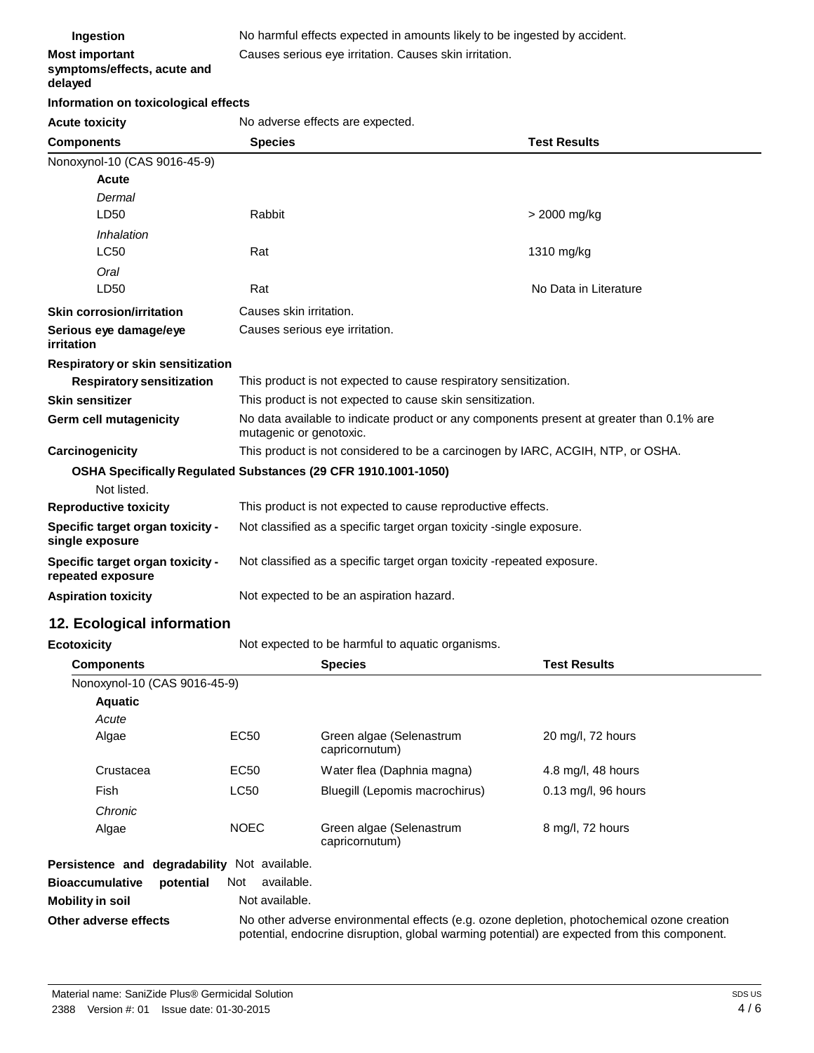| Ingestion   | No harmful effects expected in amounts likely to be ingested by accident. |
|-------------|---------------------------------------------------------------------------|
| t important | Causes serious eye irritation. Causes skin irritation.                    |

**Most important symptoms/effects, acute and delayed**

### **Information on toxicological effects**

**Acute toxicity** No adverse effects are expected.

| <b>Components</b>                                     | <b>Test Results</b><br><b>Species</b>                                                                               |                       |  |
|-------------------------------------------------------|---------------------------------------------------------------------------------------------------------------------|-----------------------|--|
| Nonoxynol-10 (CAS 9016-45-9)                          |                                                                                                                     |                       |  |
| Acute                                                 |                                                                                                                     |                       |  |
| Dermal                                                |                                                                                                                     |                       |  |
| LD50                                                  | Rabbit                                                                                                              | > 2000 mg/kg          |  |
| Inhalation                                            |                                                                                                                     |                       |  |
| <b>LC50</b>                                           | Rat                                                                                                                 | 1310 mg/kg            |  |
| Oral                                                  |                                                                                                                     |                       |  |
| LD50                                                  | Rat                                                                                                                 | No Data in Literature |  |
| <b>Skin corrosion/irritation</b>                      | Causes skin irritation.                                                                                             |                       |  |
| Serious eye damage/eye<br>irritation                  | Causes serious eye irritation.                                                                                      |                       |  |
| Respiratory or skin sensitization                     |                                                                                                                     |                       |  |
| <b>Respiratory sensitization</b>                      | This product is not expected to cause respiratory sensitization.                                                    |                       |  |
| <b>Skin sensitizer</b>                                | This product is not expected to cause skin sensitization.                                                           |                       |  |
| Germ cell mutagenicity                                | No data available to indicate product or any components present at greater than 0.1% are<br>mutagenic or genotoxic. |                       |  |
| Carcinogenicity                                       | This product is not considered to be a carcinogen by IARC, ACGIH, NTP, or OSHA.                                     |                       |  |
|                                                       | OSHA Specifically Regulated Substances (29 CFR 1910.1001-1050)                                                      |                       |  |
| Not listed.                                           |                                                                                                                     |                       |  |
| <b>Reproductive toxicity</b>                          | This product is not expected to cause reproductive effects.                                                         |                       |  |
| Specific target organ toxicity -<br>single exposure   | Not classified as a specific target organ toxicity -single exposure.                                                |                       |  |
| Specific target organ toxicity -<br>repeated exposure | Not classified as a specific target organ toxicity -repeated exposure.                                              |                       |  |
| <b>Aspiration toxicity</b>                            | Not expected to be an aspiration hazard.                                                                            |                       |  |

### **12. Ecological information**

**Ecotoxicity** Not expected to be harmful to aquatic organisms. **Components** Nonoxynol-10 (CAS 9016-45-9) **Aquatic** *Acute* **Species Test Results** Algae **Crustacea** Fish *Chronic* Algae EC50 EC50 LC50 NOEC Green algae (Selenastrum capricornutum) Water flea (Daphnia magna) Bluegill (Lepomis macrochirus) Green algae (Selenastrum capricornutum) 20 mg/l, 72 hours 4.8 mg/l, 48 hours 0.13 mg/l, 96 hours 8 mg/l, 72 hours **Persistence and degradability** Not available. **Bioaccumulative potential** Not available. **Mobility in soil Not available. Other adverse effects** No other adverse environmental effects (e.g. ozone depletion, photochemical ozone creation potential, endocrine disruption, global warming potential) are expected from this component.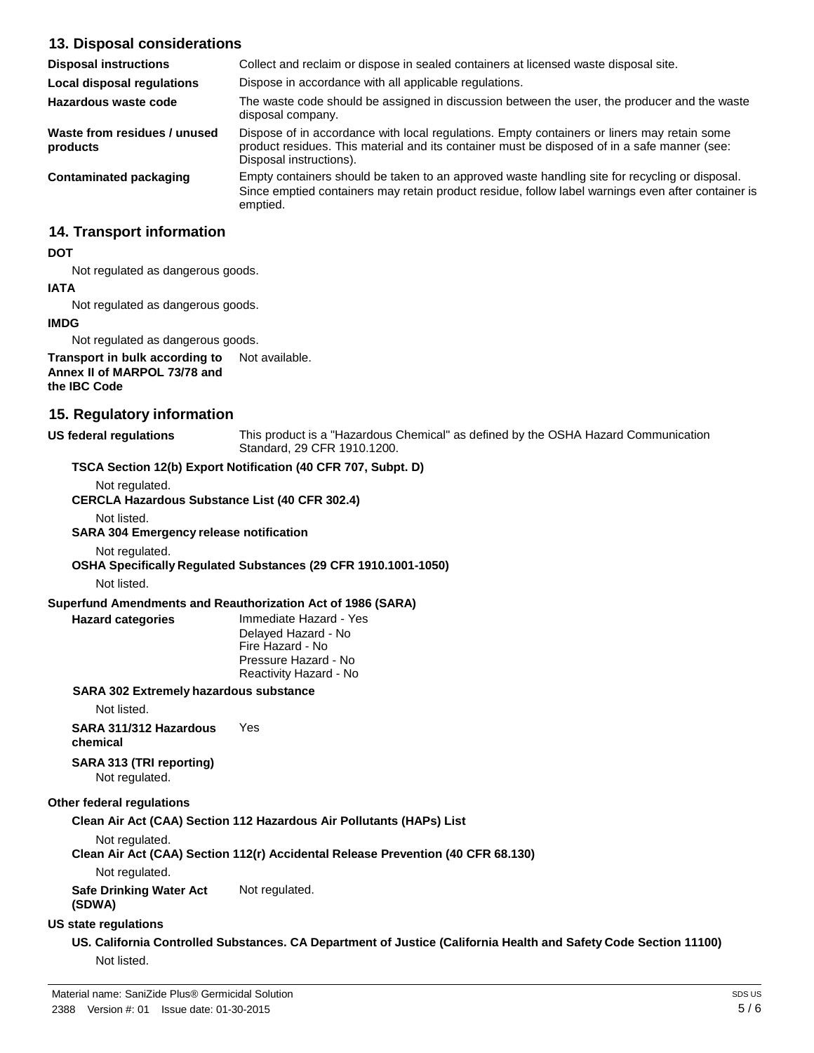### **13. Disposal considerations**

| <b>Disposal instructions</b>             | Collect and reclaim or dispose in sealed containers at licensed waste disposal site.                                                                                                                                   |
|------------------------------------------|------------------------------------------------------------------------------------------------------------------------------------------------------------------------------------------------------------------------|
| Local disposal regulations               | Dispose in accordance with all applicable regulations.                                                                                                                                                                 |
| Hazardous waste code                     | The waste code should be assigned in discussion between the user, the producer and the waste<br>disposal company.                                                                                                      |
| Waste from residues / unused<br>products | Dispose of in accordance with local regulations. Empty containers or liners may retain some<br>product residues. This material and its container must be disposed of in a safe manner (see:<br>Disposal instructions). |
| Contaminated packaging                   | Empty containers should be taken to an approved waste handling site for recycling or disposal.<br>Since emptied containers may retain product residue, follow label warnings even after container is<br>emptied.       |
|                                          |                                                                                                                                                                                                                        |

### **14. Transport information**

### **DOT**

Not regulated as dangerous goods.

### **IATA**

Not regulated as dangerous goods.

### **IMDG**

Not regulated as dangerous goods.

**Transport in bulk according to Annex II of MARPOL 73/78 and the IBC Code** Not available.

### **15. Regulatory information**

| <b>US federal regulations</b>                                           | This product is a "Hazardous Chemical" as defined by the OSHA Hazard Communication<br>Standard, 29 CFR 1910.1200.   |
|-------------------------------------------------------------------------|---------------------------------------------------------------------------------------------------------------------|
|                                                                         | TSCA Section 12(b) Export Notification (40 CFR 707, Subpt. D)                                                       |
| Not regulated.<br><b>CERCLA Hazardous Substance List (40 CFR 302.4)</b> |                                                                                                                     |
| Not listed.<br><b>SARA 304 Emergency release notification</b>           |                                                                                                                     |
| Not regulated.                                                          | OSHA Specifically Regulated Substances (29 CFR 1910.1001-1050)                                                      |
| Not listed.                                                             |                                                                                                                     |
|                                                                         | Superfund Amendments and Reauthorization Act of 1986 (SARA)                                                         |
| <b>Hazard categories</b>                                                | Immediate Hazard - Yes<br>Delayed Hazard - No<br>Fire Hazard - No<br>Pressure Hazard - No<br>Reactivity Hazard - No |
| <b>SARA 302 Extremely hazardous substance</b>                           |                                                                                                                     |
| Not listed.                                                             |                                                                                                                     |
| SARA 311/312 Hazardous<br>chemical                                      | Yes                                                                                                                 |
| SARA 313 (TRI reporting)<br>Not regulated.                              |                                                                                                                     |
| Other federal regulations                                               |                                                                                                                     |
|                                                                         | Clean Air Act (CAA) Section 112 Hazardous Air Pollutants (HAPs) List                                                |
| Not regulated.                                                          | Clean Air Act (CAA) Section 112(r) Accidental Release Prevention (40 CFR 68.130)                                    |
| Not regulated.                                                          |                                                                                                                     |
| <b>Safe Drinking Water Act</b><br>(SDWA)                                | Not regulated.                                                                                                      |
| <b>US state regulations</b>                                             |                                                                                                                     |
|                                                                         | US. California Controlled Substances. CA Department of Justice (California Health and Safety Code Section 11100)    |
| Not listed.                                                             |                                                                                                                     |